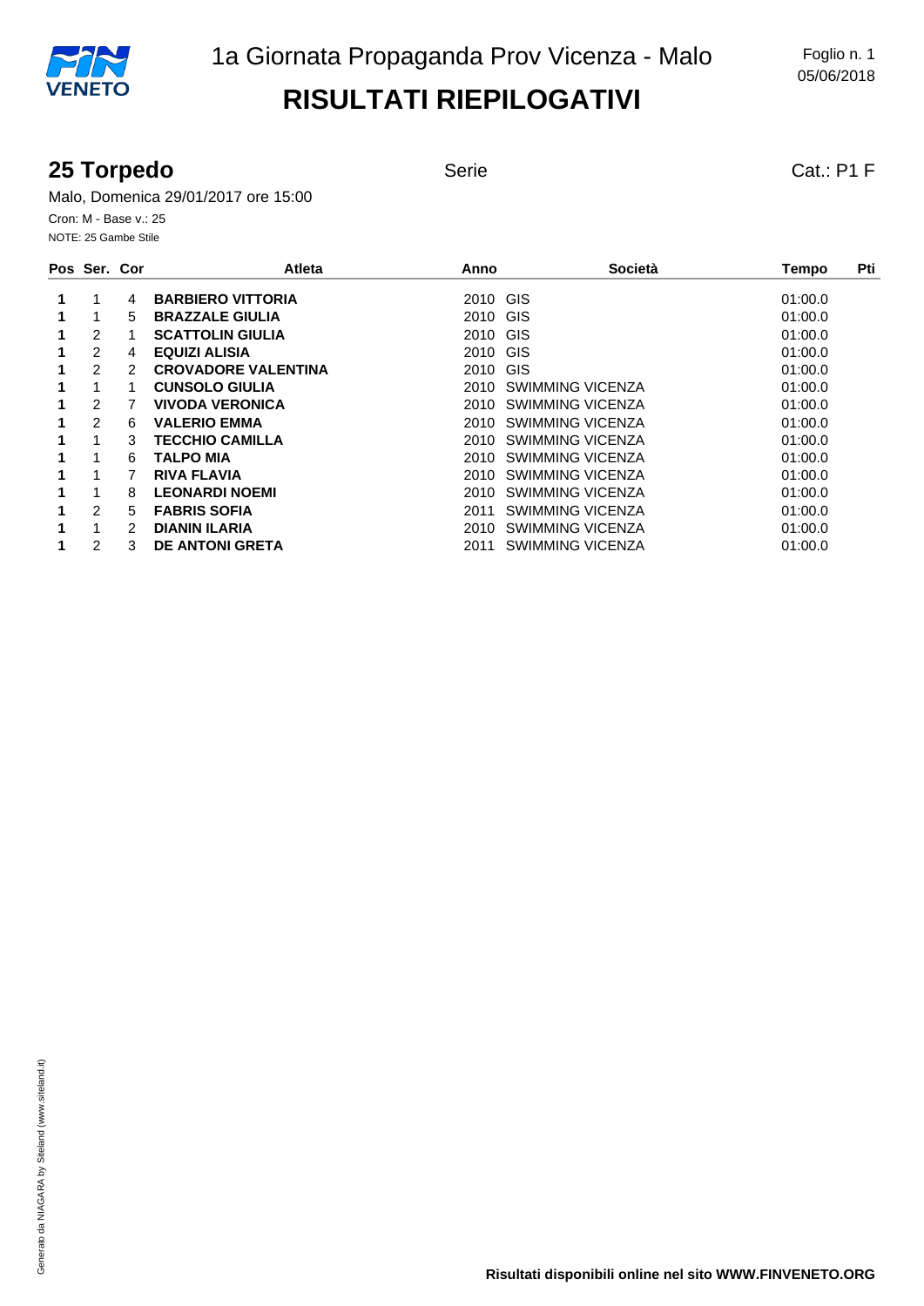#### **25 Torpedo** Serie Serie Cat.: P1 F

Malo, Domenica 29/01/2017 ore 15:00 Cron: M - Base v.: 25 NOTE: 25 Gambe Stile

| Pos Ser. Cor |   | Atleta                     | Anno     | Società          | Pti<br>Tempo |
|--------------|---|----------------------------|----------|------------------|--------------|
|              | 4 | <b>BARBIERO VITTORIA</b>   | 2010 GIS |                  | 01:00.0      |
|              | 5 | <b>BRAZZALE GIULIA</b>     | 2010 GIS |                  | 01:00.0      |
| 2            |   | <b>SCATTOLIN GIULIA</b>    | 2010 GIS |                  | 01:00.0      |
| 2            | 4 | <b>EQUIZI ALISIA</b>       | 2010 GIS |                  | 01:00.0      |
| 2            | 2 | <b>CROVADORE VALENTINA</b> | 2010 GIS |                  | 01:00.0      |
|              | 1 | <b>CUNSOLO GIULIA</b>      | 2010     | SWIMMING VICENZA | 01:00.0      |
| 2            |   | <b>VIVODA VERONICA</b>     | 2010     | SWIMMING VICENZA | 01:00.0      |
| 2            | 6 | <b>VALERIO EMMA</b>        | 2010     | SWIMMING VICENZA | 01:00.0      |
|              | 3 | <b>TECCHIO CAMILLA</b>     | 2010     | SWIMMING VICENZA | 01:00.0      |
|              | 6 | <b>TALPO MIA</b>           | 2010     | SWIMMING VICENZA | 01:00.0      |
|              |   | <b>RIVA FLAVIA</b>         | 2010     | SWIMMING VICENZA | 01:00.0      |
| 1            | 8 | <b>LEONARDI NOEMI</b>      | 2010     | SWIMMING VICENZA | 01:00.0      |
| 2            | 5 | <b>FABRIS SOFIA</b>        | 2011     | SWIMMING VICENZA | 01:00.0      |
|              | 2 | <b>DIANIN ILARIA</b>       | 2010     | SWIMMING VICENZA | 01:00.0      |
| 2            | 3 | <b>DE ANTONI GRETA</b>     | 2011     | SWIMMING VICENZA | 01:00.0      |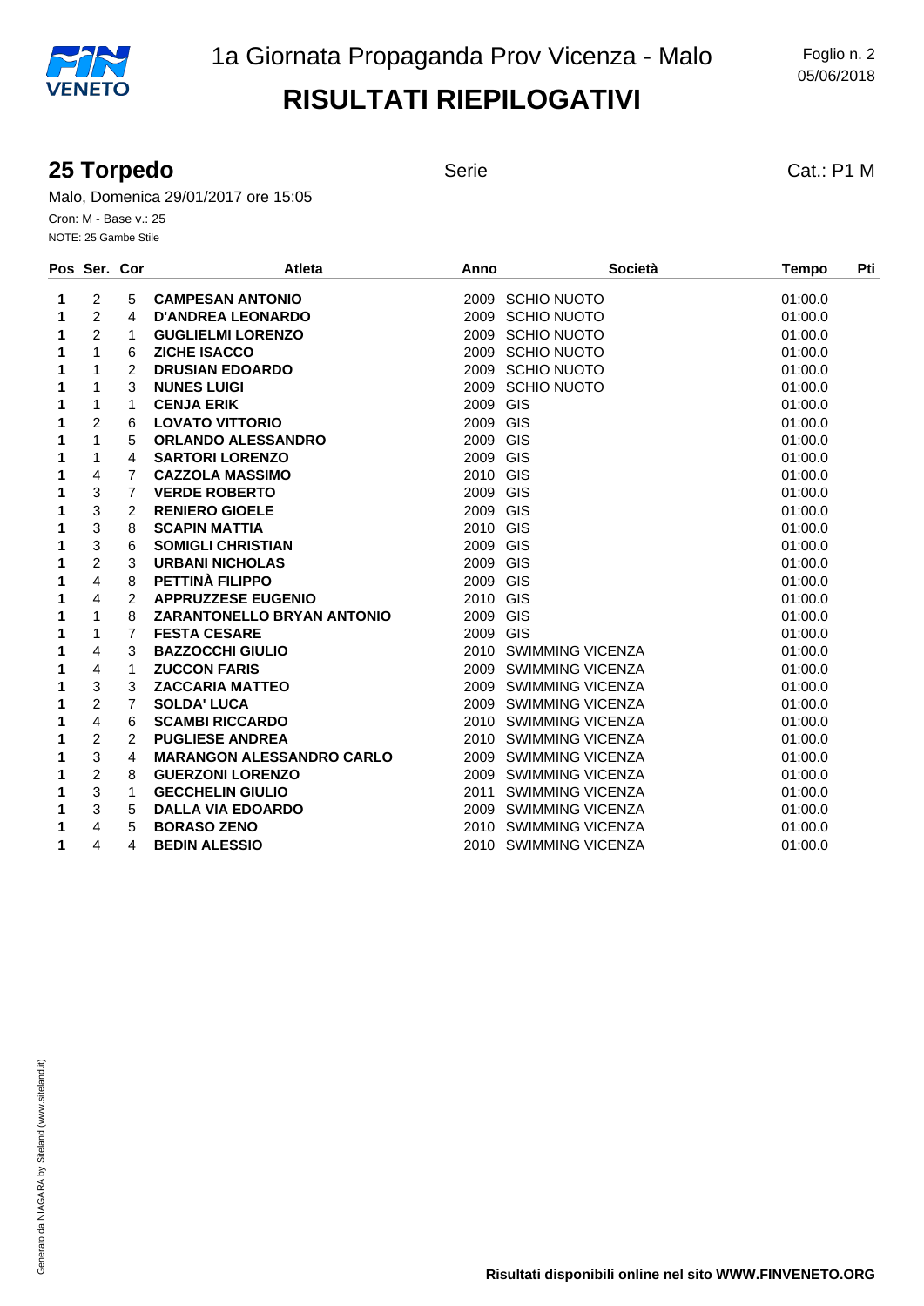#### **25 Torpedo** Serie Serie Cat.: P1 M

Malo, Domenica 29/01/2017 ore 15:05 Cron: M - Base v.: 25 NOTE: 25 Gambe Stile

|   | Pos Ser. Cor   |                | <b>Atleta</b>                     | Anno             | <b>Società</b>        | <b>Tempo</b> | Pti |
|---|----------------|----------------|-----------------------------------|------------------|-----------------------|--------------|-----|
| 1 | 2              | 5              | <b>CAMPESAN ANTONIO</b>           | 2009 SCHIO NUOTO |                       | 01:00.0      |     |
| 1 | $\overline{2}$ | 4              | <b>D'ANDREA LEONARDO</b>          | 2009 SCHIO NUOTO |                       | 01:00.0      |     |
| 1 | 2              | 1              | <b>GUGLIELMI LORENZO</b>          | 2009 SCHIO NUOTO |                       | 01:00.0      |     |
| 1 | $\mathbf{1}$   | 6              | <b>ZICHE ISACCO</b>               | 2009 SCHIO NUOTO |                       | 01:00.0      |     |
| 1 | 1              | 2              | <b>DRUSIAN EDOARDO</b>            | 2009 SCHIO NUOTO |                       | 01:00.0      |     |
| 1 | 1              | 3              | <b>NUNES LUIGI</b>                | 2009 SCHIO NUOTO |                       | 01:00.0      |     |
| 1 | 1              | 1              | <b>CENJA ERIK</b>                 | 2009 GIS         |                       | 01:00.0      |     |
| 1 | $\overline{2}$ | 6              | <b>LOVATO VITTORIO</b>            | 2009 GIS         |                       | 01:00.0      |     |
| 1 | $\mathbf{1}$   | 5              | <b>ORLANDO ALESSANDRO</b>         | 2009 GIS         |                       | 01:00.0      |     |
| 1 | 1              | 4              | <b>SARTORI LORENZO</b>            | 2009 GIS         |                       | 01:00.0      |     |
| 1 | $\overline{4}$ | $\overline{7}$ | <b>CAZZOLA MASSIMO</b>            | 2010 GIS         |                       | 01:00.0      |     |
| 1 | 3              | $\overline{7}$ | <b>VERDE ROBERTO</b>              | 2009 GIS         |                       | 01:00.0      |     |
| 1 | 3              | 2              | <b>RENIERO GIOELE</b>             | 2009 GIS         |                       | 01:00.0      |     |
| 1 | 3              | 8              | <b>SCAPIN MATTIA</b>              | 2010 GIS         |                       | 01:00.0      |     |
| 1 | 3              | 6              | <b>SOMIGLI CHRISTIAN</b>          | 2009 GIS         |                       | 01:00.0      |     |
| 1 | $\overline{c}$ | 3              | <b>URBANI NICHOLAS</b>            | 2009 GIS         |                       | 01:00.0      |     |
| 1 | 4              | 8              | PETTINÀ FILIPPO                   | 2009 GIS         |                       | 01:00.0      |     |
| 1 | $\overline{4}$ | 2              | <b>APPRUZZESE EUGENIO</b>         | 2010 GIS         |                       | 01:00.0      |     |
| 1 | 1              | 8              | <b>ZARANTONELLO BRYAN ANTONIO</b> | 2009 GIS         |                       | 01:00.0      |     |
| 1 | 1              | 7              | <b>FESTA CESARE</b>               | 2009 GIS         |                       | 01:00.0      |     |
| 1 | $\overline{4}$ | 3              | <b>BAZZOCCHI GIULIO</b>           |                  | 2010 SWIMMING VICENZA | 01:00.0      |     |
| 1 | 4              | 1              | <b>ZUCCON FARIS</b>               |                  | 2009 SWIMMING VICENZA | 01:00.0      |     |
| 1 | 3              | 3              | <b>ZACCARIA MATTEO</b>            |                  | 2009 SWIMMING VICENZA | 01:00.0      |     |
| 1 | $\overline{2}$ | 7              | <b>SOLDA' LUCA</b>                |                  | 2009 SWIMMING VICENZA | 01:00.0      |     |
| 1 | 4              | 6              | <b>SCAMBI RICCARDO</b>            |                  | 2010 SWIMMING VICENZA | 01:00.0      |     |
| 1 | $\overline{c}$ | $\overline{2}$ | <b>PUGLIESE ANDREA</b>            |                  | 2010 SWIMMING VICENZA | 01:00.0      |     |
| 1 | 3              | 4              | <b>MARANGON ALESSANDRO CARLO</b>  |                  | 2009 SWIMMING VICENZA | 01:00.0      |     |
| 1 | $\overline{2}$ | 8              | <b>GUERZONI LORENZO</b>           |                  | 2009 SWIMMING VICENZA | 01:00.0      |     |
| 1 | 3              | 1              | <b>GECCHELIN GIULIO</b>           |                  | 2011 SWIMMING VICENZA | 01:00.0      |     |
| 1 | 3              | 5              | <b>DALLA VIA EDOARDO</b>          |                  | 2009 SWIMMING VICENZA | 01:00.0      |     |
| 1 | 4              | 5              | <b>BORASO ZENO</b>                |                  | 2010 SWIMMING VICENZA | 01:00.0      |     |
| 1 | $\overline{4}$ | 4              | <b>BEDIN ALESSIO</b>              |                  | 2010 SWIMMING VICENZA | 01:00.0      |     |
|   |                |                |                                   |                  |                       |              |     |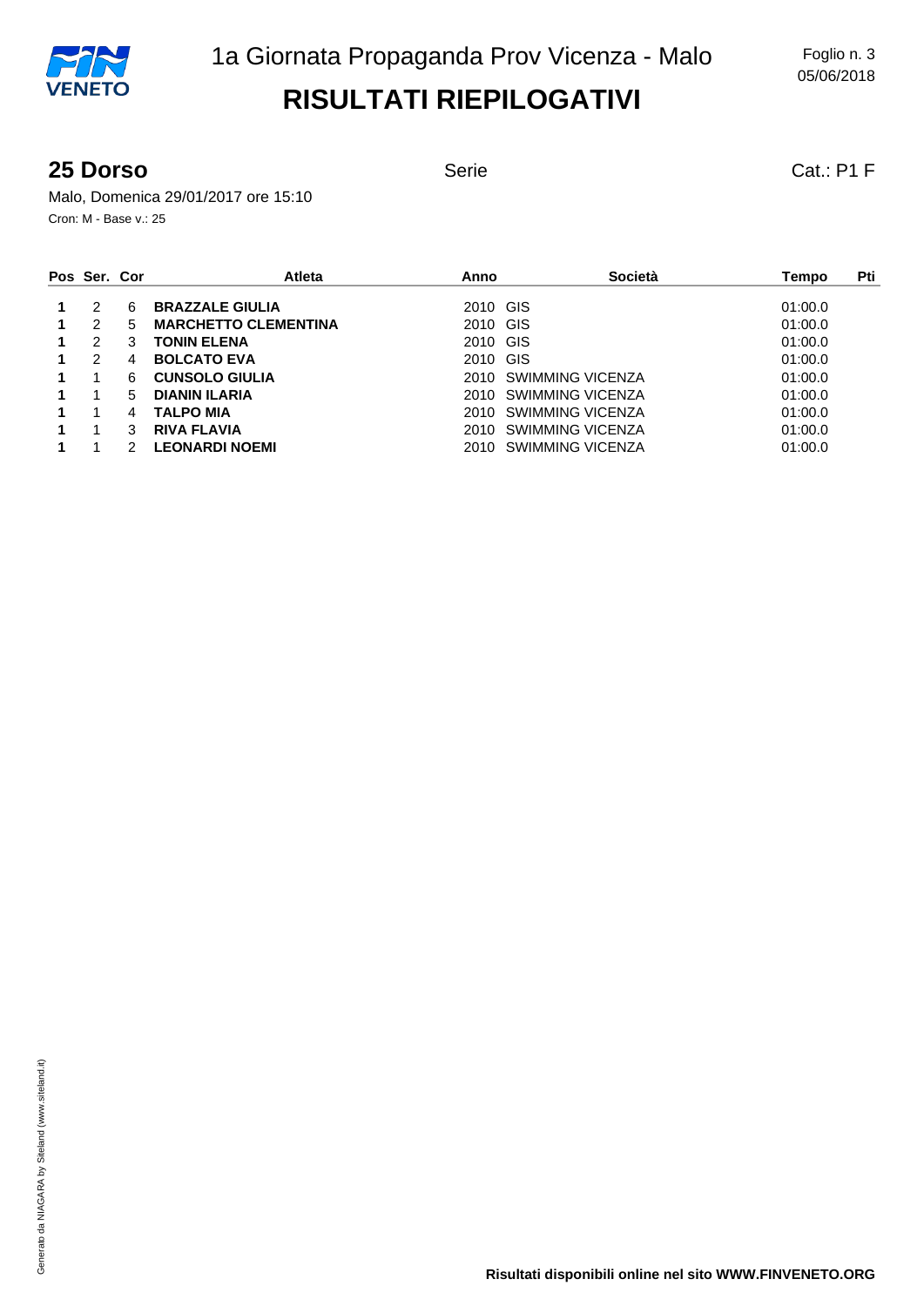#### **25 Dorso** Serie Serie Cat.: P1 F

Malo, Domenica 29/01/2017 ore 15:10 Cron: M - Base v.: 25

| Pos Ser. Cor |   | <b>Atleta</b>               | Anno     | Società               | Pti<br>Tempo |
|--------------|---|-----------------------------|----------|-----------------------|--------------|
| 2            | 6 | <b>BRAZZALE GIULIA</b>      | 2010 GIS |                       | 01:00.0      |
| 2            | 5 | <b>MARCHETTO CLEMENTINA</b> | 2010 GIS |                       | 01:00.0      |
| 2            | 3 | <b>TONIN ELENA</b>          | 2010 GIS |                       | 01:00.0      |
| 2            | 4 | <b>BOLCATO EVA</b>          | 2010 GIS |                       | 01:00.0      |
|              | 6 | <b>CUNSOLO GIULIA</b>       |          | 2010 SWIMMING VICENZA | 01:00.0      |
|              | 5 | <b>DIANIN ILARIA</b>        |          | 2010 SWIMMING VICENZA | 01:00.0      |
|              | 4 | <b>TALPO MIA</b>            |          | 2010 SWIMMING VICENZA | 01:00.0      |
|              | 3 | <b>RIVA FLAVIA</b>          |          | 2010 SWIMMING VICENZA | 01:00.0      |
|              |   | <b>LEONARDI NOEMI</b>       |          | 2010 SWIMMING VICENZA | 01:00.0      |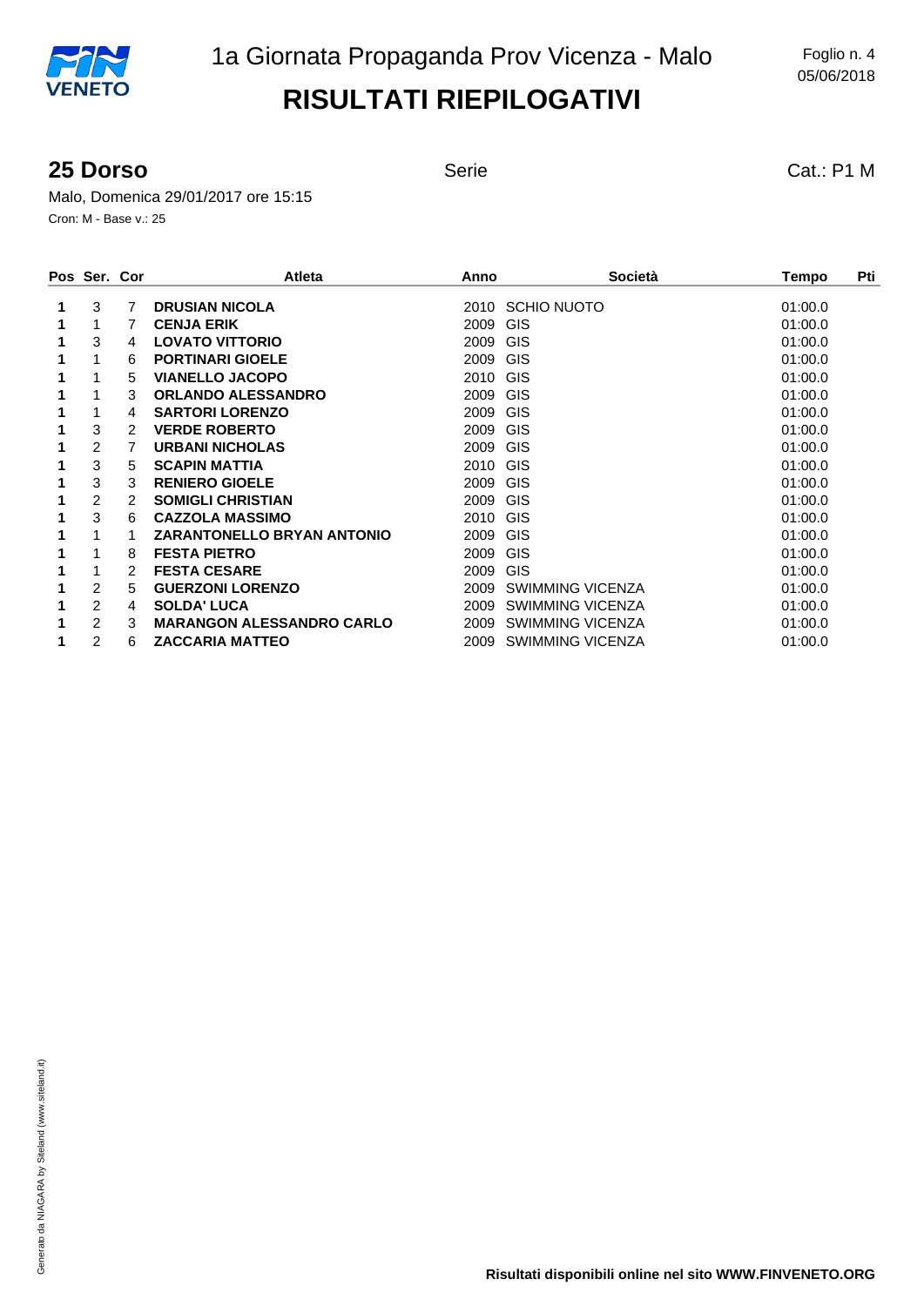#### **25 Dorso** Serie Serie Cat.: P1 M

Malo, Domenica 29/01/2017 ore 15:15 Cron: M - Base v.: 25

|   | Pos Ser. Cor |   | <b>Atleta</b>                     | Anno               | <b>Società</b>          | Pti<br>Tempo |
|---|--------------|---|-----------------------------------|--------------------|-------------------------|--------------|
|   | 3            | 7 | <b>DRUSIAN NICOLA</b>             | 2010               | <b>SCHIO NUOTO</b>      | 01:00.0      |
| 1 | 1            |   | <b>CENJA ERIK</b>                 | GIS<br>2009        |                         | 01:00.0      |
|   | 3            | 4 | <b>LOVATO VITTORIO</b>            | <b>GIS</b><br>2009 |                         | 01:00.0      |
|   |              | 6 | <b>PORTINARI GIOELE</b>           | <b>GIS</b><br>2009 |                         | 01:00.0      |
|   |              | 5 | <b>VIANELLO JACOPO</b>            | GIS<br>2010        |                         | 01:00.0      |
|   |              | 3 | <b>ORLANDO ALESSANDRO</b>         | GIS<br>2009        |                         | 01:00.0      |
|   |              | 4 | <b>SARTORI LORENZO</b>            | GIS<br>2009        |                         | 01:00.0      |
|   | 3            | 2 | <b>VERDE ROBERTO</b>              | GIS<br>2009        |                         | 01:00.0      |
|   | 2            |   | <b>URBANI NICHOLAS</b>            | <b>GIS</b><br>2009 |                         | 01:00.0      |
|   | 3            | 5 | <b>SCAPIN MATTIA</b>              | GIS<br>2010        |                         | 01:00.0      |
|   | 3            | 3 | <b>RENIERO GIOELE</b>             | <b>GIS</b><br>2009 |                         | 01:00.0      |
|   | 2            | 2 | <b>SOMIGLI CHRISTIAN</b>          | GIS<br>2009        |                         | 01:00.0      |
|   | 3            | 6 | <b>CAZZOLA MASSIMO</b>            | GIS<br>2010        |                         | 01:00.0      |
|   | 1            |   | <b>ZARANTONELLO BRYAN ANTONIO</b> | GIS<br>2009        |                         | 01:00.0      |
|   | 1            | 8 | <b>FESTA PIETRO</b>               | GIS<br>2009        |                         | 01:00.0      |
|   |              | 2 | <b>FESTA CESARE</b>               | GIS<br>2009        |                         | 01:00.0      |
|   | 2            | 5 | <b>GUERZONI LORENZO</b>           | 2009               | SWIMMING VICENZA        | 01:00.0      |
|   | 2            | 4 | <b>SOLDA' LUCA</b>                | 2009               | <b>SWIMMING VICENZA</b> | 01:00.0      |
|   | 2            | 3 | <b>MARANGON ALESSANDRO CARLO</b>  | 2009               | <b>SWIMMING VICENZA</b> | 01:00.0      |
|   | 2            | 6 | <b>ZACCARIA MATTEO</b>            | 2009               | <b>SWIMMING VICENZA</b> | 01:00.0      |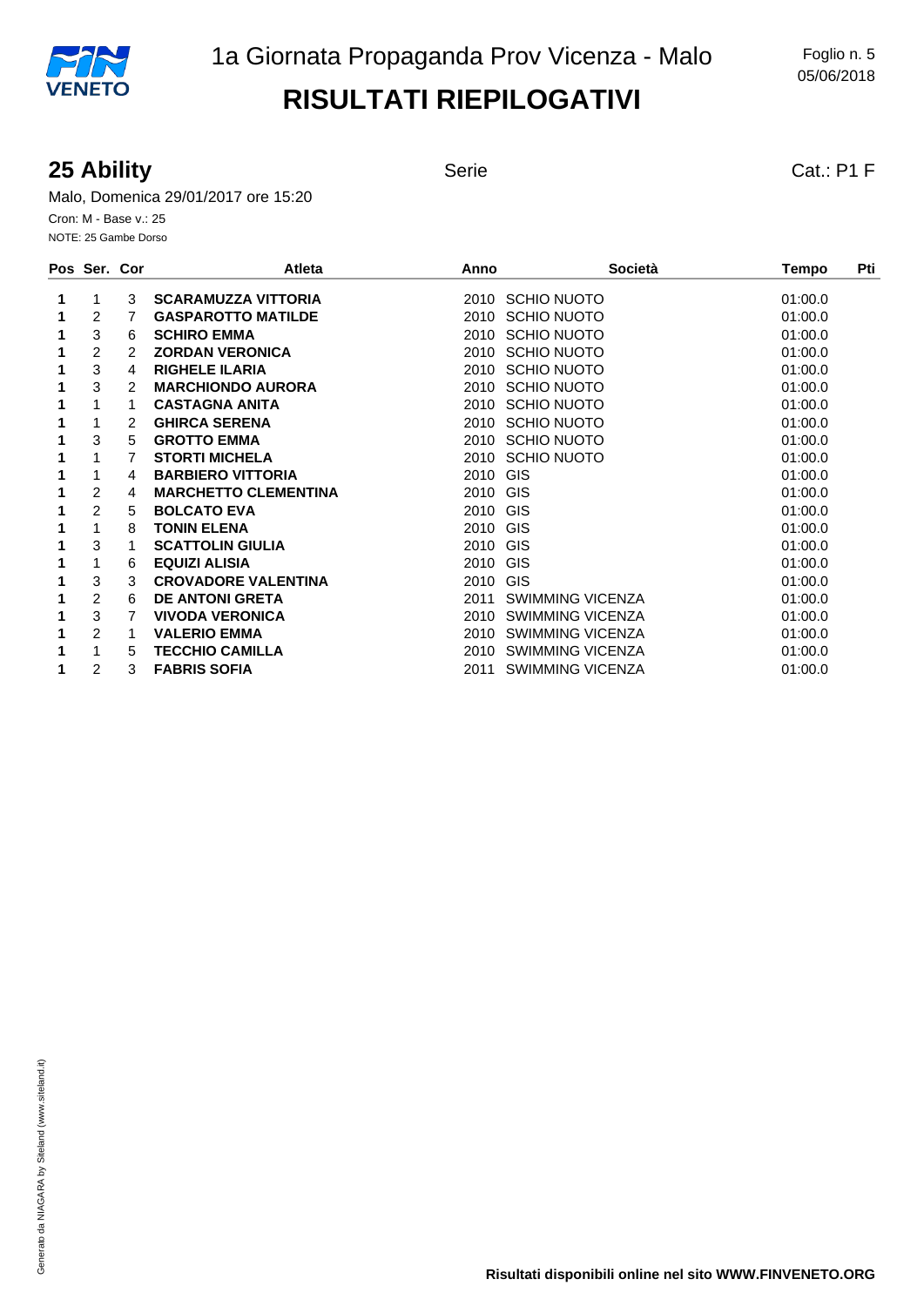#### **25 Ability** Serie Serie Cat.: P1 F

Malo, Domenica 29/01/2017 ore 15:20 Cron: M - Base v.: 25 NOTE: 25 Gambe Dorso

|   | Pos Ser. Cor   |   | <b>Atleta</b>               | Anno     | <b>Società</b>          | Pti<br>Tempo |
|---|----------------|---|-----------------------------|----------|-------------------------|--------------|
| 1 | 1              | 3 | <b>SCARAMUZZA VITTORIA</b>  |          | 2010 SCHIO NUOTO        | 01:00.0      |
|   | 2              | 7 | <b>GASPAROTTO MATILDE</b>   |          | 2010 SCHIO NUOTO        | 01:00.0      |
|   | 3              | 6 | <b>SCHIRO EMMA</b>          |          | 2010 SCHIO NUOTO        | 01:00.0      |
|   | 2              | 2 | <b>ZORDAN VERONICA</b>      |          | 2010 SCHIO NUOTO        | 01:00.0      |
|   | 3              | 4 | <b>RIGHELE ILARIA</b>       |          | 2010 SCHIO NUOTO        | 01:00.0      |
|   | 3              | 2 | <b>MARCHIONDO AURORA</b>    | 2010     | <b>SCHIO NUOTO</b>      | 01:00.0      |
|   | 1              |   | <b>CASTAGNA ANITA</b>       | 2010     | <b>SCHIO NUOTO</b>      | 01:00.0      |
| 1 | 1              | 2 | <b>GHIRCA SERENA</b>        | 2010     | <b>SCHIO NUOTO</b>      | 01:00.0      |
|   | 3              | 5 | <b>GROTTO EMMA</b>          |          | 2010 SCHIO NUOTO        | 01:00.0      |
|   |                | 7 | <b>STORTI MICHELA</b>       |          | 2010 SCHIO NUOTO        | 01:00.0      |
|   |                | 4 | <b>BARBIERO VITTORIA</b>    | 2010 GIS |                         | 01:00.0      |
|   | 2              | 4 | <b>MARCHETTO CLEMENTINA</b> | 2010 GIS |                         | 01:00.0      |
|   | $\overline{2}$ | 5 | <b>BOLCATO EVA</b>          | 2010 GIS |                         | 01:00.0      |
|   | 1              | 8 | <b>TONIN ELENA</b>          | 2010 GIS |                         | 01:00.0      |
|   | 3              |   | <b>SCATTOLIN GIULIA</b>     | 2010     | <b>GIS</b>              | 01:00.0      |
|   | 1              | 6 | <b>EQUIZI ALISIA</b>        | 2010 GIS |                         | 01:00.0      |
|   | 3              | 3 | <b>CROVADORE VALENTINA</b>  | 2010 GIS |                         | 01:00.0      |
|   | 2              | 6 | <b>DE ANTONI GRETA</b>      | 2011     | SWIMMING VICENZA        | 01:00.0      |
|   | 3              | 7 | <b>VIVODA VERONICA</b>      |          | 2010 SWIMMING VICENZA   | 01:00.0      |
|   | $\overline{2}$ | 1 | <b>VALERIO EMMA</b>         | 2010     | <b>SWIMMING VICENZA</b> | 01:00.0      |
|   | 1              | 5 | <b>TECCHIO CAMILLA</b>      |          | 2010 SWIMMING VICENZA   | 01:00.0      |
|   | 2              | 3 | <b>FABRIS SOFIA</b>         | 2011     | <b>SWIMMING VICENZA</b> | 01:00.0      |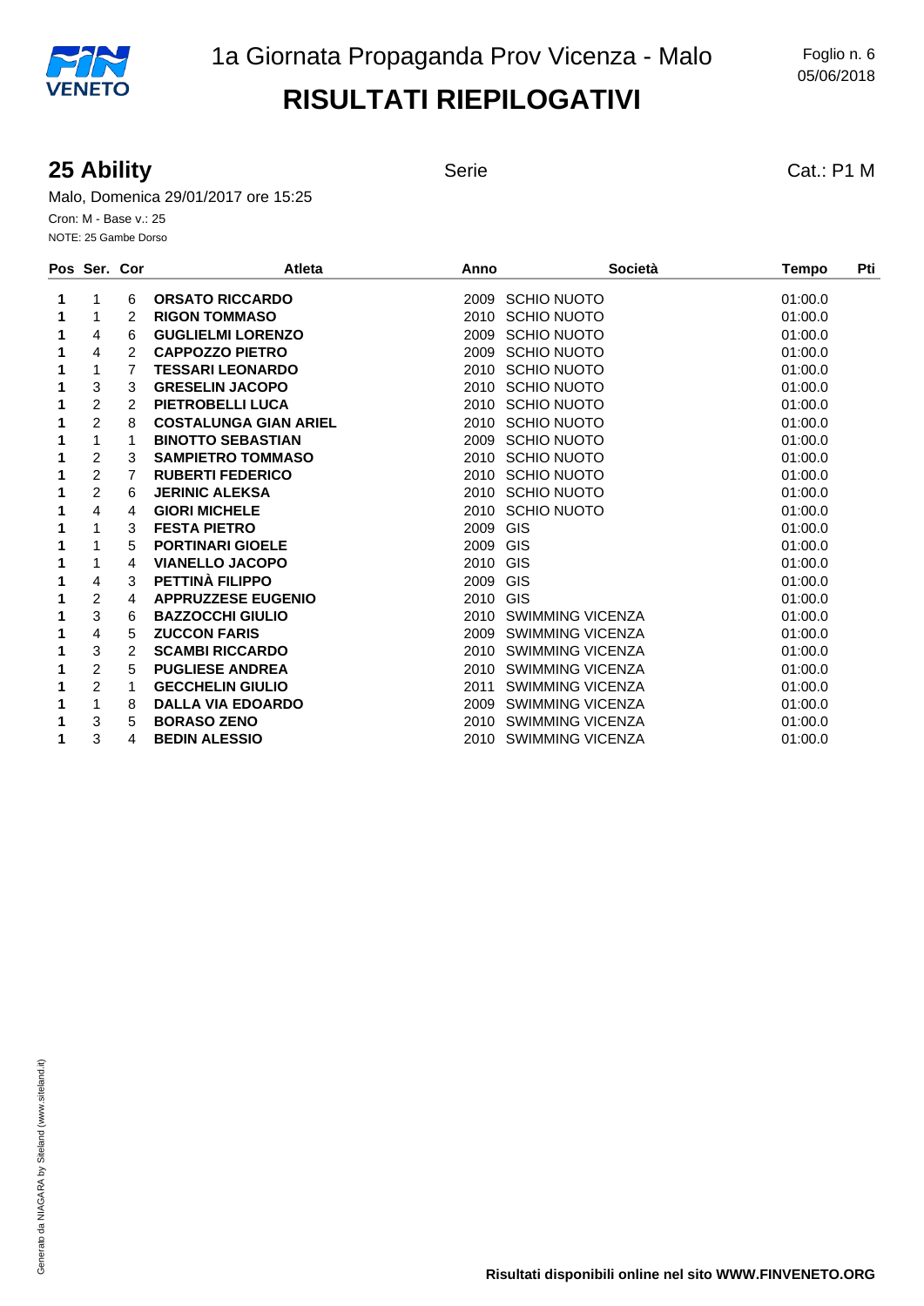#### **25 Ability** Serie Serie Cat.: P1 M

Malo, Domenica 29/01/2017 ore 15:25 Cron: M - Base v.: 25 NOTE: 25 Gambe Dorso

|   | Pos Ser. Cor   |               | <b>Atleta</b>                | Anno             | <b>Società</b>          | <b>Tempo</b> | Pti |
|---|----------------|---------------|------------------------------|------------------|-------------------------|--------------|-----|
| 1 | 1              | 6             | <b>ORSATO RICCARDO</b>       | 2009 SCHIO NUOTO |                         | 01:00.0      |     |
| 1 | 1              | 2             | <b>RIGON TOMMASO</b>         | 2010 SCHIO NUOTO |                         | 01:00.0      |     |
| 1 | 4              | 6             | <b>GUGLIELMI LORENZO</b>     | 2009 SCHIO NUOTO |                         | 01:00.0      |     |
|   | 4              | 2             | <b>CAPPOZZO PIETRO</b>       | 2009 SCHIO NUOTO |                         | 01:00.0      |     |
|   | 1              | 7             | <b>TESSARI LEONARDO</b>      | 2010 SCHIO NUOTO |                         | 01:00.0      |     |
| 1 | 3              | 3             | <b>GRESELIN JACOPO</b>       | 2010 SCHIO NUOTO |                         | 01:00.0      |     |
|   | $\overline{2}$ | $\mathcal{P}$ | PIETROBELLI LUCA             | 2010 SCHIO NUOTO |                         | 01:00.0      |     |
|   | $\overline{2}$ | 8             | <b>COSTALUNGA GIAN ARIEL</b> | 2010 SCHIO NUOTO |                         | 01:00.0      |     |
| 1 | 1              |               | <b>BINOTTO SEBASTIAN</b>     | 2009 SCHIO NUOTO |                         | 01:00.0      |     |
|   | $\overline{c}$ | 3             | <b>SAMPIETRO TOMMASO</b>     | 2010 SCHIO NUOTO |                         | 01:00.0      |     |
|   | $\overline{2}$ | 7             | <b>RUBERTI FEDERICO</b>      | 2010 SCHIO NUOTO |                         | 01:00.0      |     |
| 1 | $\overline{2}$ | 6             | <b>JERINIC ALEKSA</b>        | 2010 SCHIO NUOTO |                         | 01:00.0      |     |
|   | 4              | 4             | <b>GIORI MICHELE</b>         | 2010 SCHIO NUOTO |                         | 01:00.0      |     |
|   | 1              | 3             | <b>FESTA PIETRO</b>          | 2009 GIS         |                         | 01:00.0      |     |
| 1 | 1              | 5             | <b>PORTINARI GIOELE</b>      | 2009 GIS         |                         | 01:00.0      |     |
|   | 1              | 4             | <b>VIANELLO JACOPO</b>       | 2010 GIS         |                         | 01:00.0      |     |
|   | 4              | 3             | PETTINÀ FILIPPO              | 2009 GIS         |                         | 01:00.0      |     |
|   | $\overline{c}$ | 4             | <b>APPRUZZESE EUGENIO</b>    | 2010 GIS         |                         | 01:00.0      |     |
|   | 3              | 6             | <b>BAZZOCCHI GIULIO</b>      |                  | 2010 SWIMMING VICENZA   | 01:00.0      |     |
|   | 4              | 5             | <b>ZUCCON FARIS</b>          |                  | 2009 SWIMMING VICENZA   | 01:00.0      |     |
| 1 | 3              | 2             | <b>SCAMBI RICCARDO</b>       |                  | 2010 SWIMMING VICENZA   | 01:00.0      |     |
|   | $\overline{2}$ | 5             | <b>PUGLIESE ANDREA</b>       |                  | 2010 SWIMMING VICENZA   | 01:00.0      |     |
|   | $\overline{2}$ |               | <b>GECCHELIN GIULIO</b>      | 2011             | <b>SWIMMING VICENZA</b> | 01:00.0      |     |
| 1 | 1              | 8             | <b>DALLA VIA EDOARDO</b>     |                  | 2009 SWIMMING VICENZA   | 01:00.0      |     |
|   | 3              | 5             | <b>BORASO ZENO</b>           |                  | 2010 SWIMMING VICENZA   | 01:00.0      |     |
|   | 3              | 4             | <b>BEDIN ALESSIO</b>         |                  | 2010 SWIMMING VICENZA   | 01:00.0      |     |
|   |                |               |                              |                  |                         |              |     |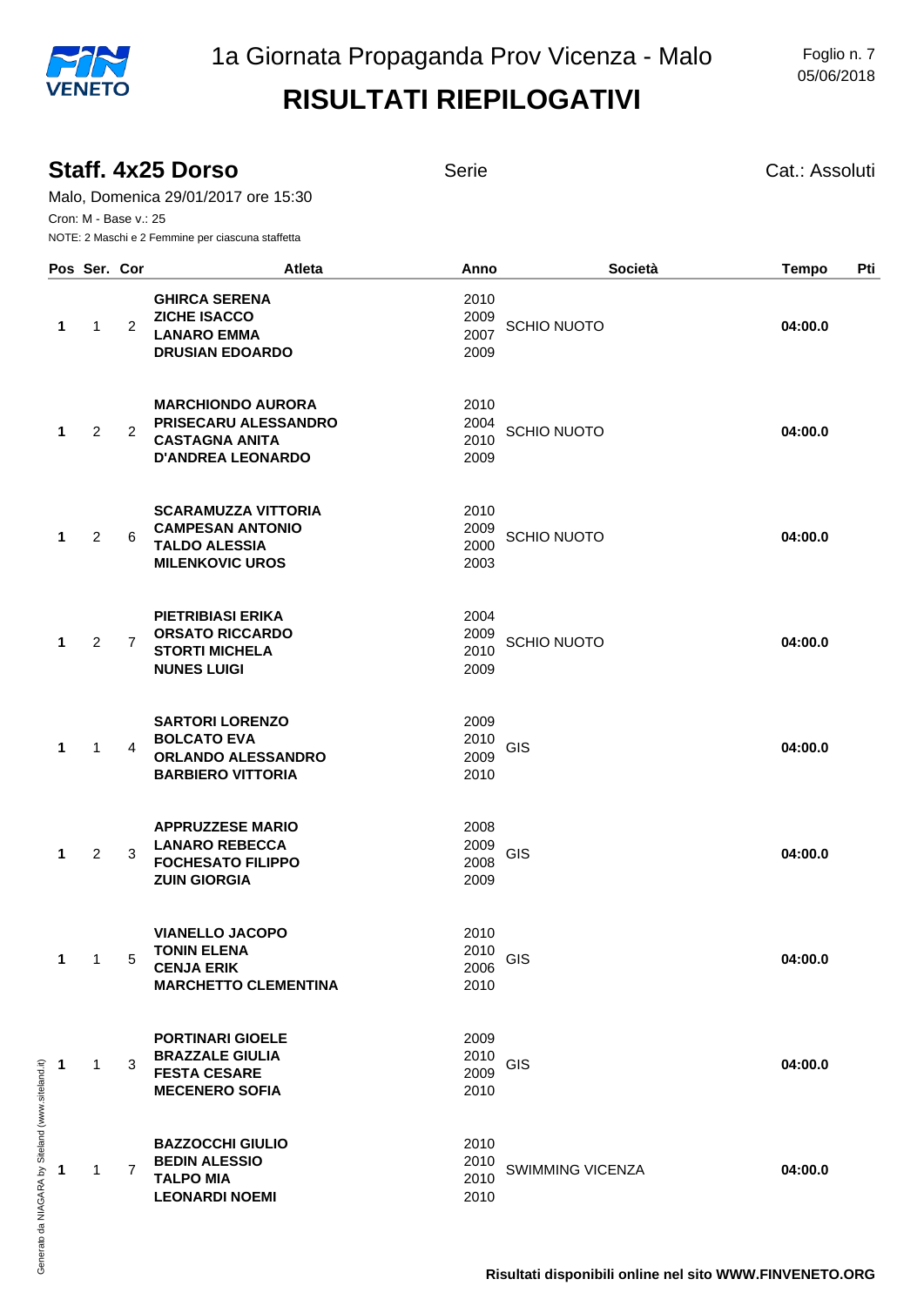|           | Staff, 4x25 Dorso<br>Malo, Domenica 29/01/2017 ore 15:30<br>Cron: M - Base v.: 25<br>NOTE: 2 Maschi e 2 Femmine per ciascuna staffetta<br>Pos Ser. Cor |                |                                                                                                         | Serie                                      |                         | Cat.: Assoluti      |  |
|-----------|--------------------------------------------------------------------------------------------------------------------------------------------------------|----------------|---------------------------------------------------------------------------------------------------------|--------------------------------------------|-------------------------|---------------------|--|
|           |                                                                                                                                                        |                | <b>Atleta</b>                                                                                           | Anno                                       | Società                 | Pti<br><b>Tempo</b> |  |
| 1         | $\mathbf{1}$                                                                                                                                           | $\overline{2}$ | <b>GHIRCA SERENA</b><br><b>ZICHE ISACCO</b><br><b>LANARO EMMA</b><br><b>DRUSIAN EDOARDO</b>             | 2010<br>2009<br>2007<br>2009               | <b>SCHIO NUOTO</b>      | 04:00.0             |  |
| 1         | $\overline{2}$                                                                                                                                         | 2              | <b>MARCHIONDO AURORA</b><br>PRISECARU ALESSANDRO<br><b>CASTAGNA ANITA</b><br><b>D'ANDREA LEONARDO</b>   | 2010<br>2004<br>2010<br>2009               | <b>SCHIO NUOTO</b>      | 04:00.0             |  |
| 1         | $\overline{2}$                                                                                                                                         | 6              | <b>SCARAMUZZA VITTORIA</b><br><b>CAMPESAN ANTONIO</b><br><b>TALDO ALESSIA</b><br><b>MILENKOVIC UROS</b> | 2010<br>2009<br>2000<br>2003               | <b>SCHIO NUOTO</b>      | 04:00.0             |  |
| 1         | 2                                                                                                                                                      | $\overline{7}$ | <b>PIETRIBIASI ERIKA</b><br><b>ORSATO RICCARDO</b><br><b>STORTI MICHELA</b><br><b>NUNES LUIGI</b>       | 2004<br>2009<br>2010<br>2009               | <b>SCHIO NUOTO</b>      | 04:00.0             |  |
| 1         | $\mathbf{1}$                                                                                                                                           | 4              | <b>SARTORI LORENZO</b><br><b>BOLCATO EVA</b><br><b>ORLANDO ALESSANDRO</b><br><b>BARBIERO VITTORIA</b>   | 2009<br>2010<br>GIS<br>2009<br>2010        |                         | 04:00.0             |  |
| 1         | $\overline{2}$                                                                                                                                         | 3              | <b>APPRUZZESE MARIO</b><br><b>LANARO REBECCA</b><br><b>FOCHESATO FILIPPO</b><br><b>ZUIN GIORGIA</b>     | 2008<br>2009<br>GIS<br>2008<br>2009        |                         | 04:00.0             |  |
| 1         | $\mathbf{1}$                                                                                                                                           | 5              | <b>VIANELLO JACOPO</b><br><b>TONIN ELENA</b><br><b>CENJA ERIK</b><br><b>MARCHETTO CLEMENTINA</b>        | 2010<br>2010<br>GIS<br>2006<br>2010        |                         | 04:00.0             |  |
| $\sim$ 1  | 1                                                                                                                                                      | 3              | <b>PORTINARI GIOELE</b><br><b>BRAZZALE GIULIA</b><br><b>FESTA CESARE</b><br><b>MECENERO SOFIA</b>       | 2009<br>2010<br><b>GIS</b><br>2009<br>2010 |                         | 04:00.0             |  |
| $\cdot$ 1 | $\mathbf{1}$                                                                                                                                           | $\overline{7}$ | <b>BAZZOCCHI GIULIO</b><br><b>BEDIN ALESSIO</b><br><b>TALPO MIA</b><br><b>LEONARDI NOEMI</b>            | 2010<br>2010<br>2010<br>2010               | <b>SWIMMING VICENZA</b> | 04:00.0             |  |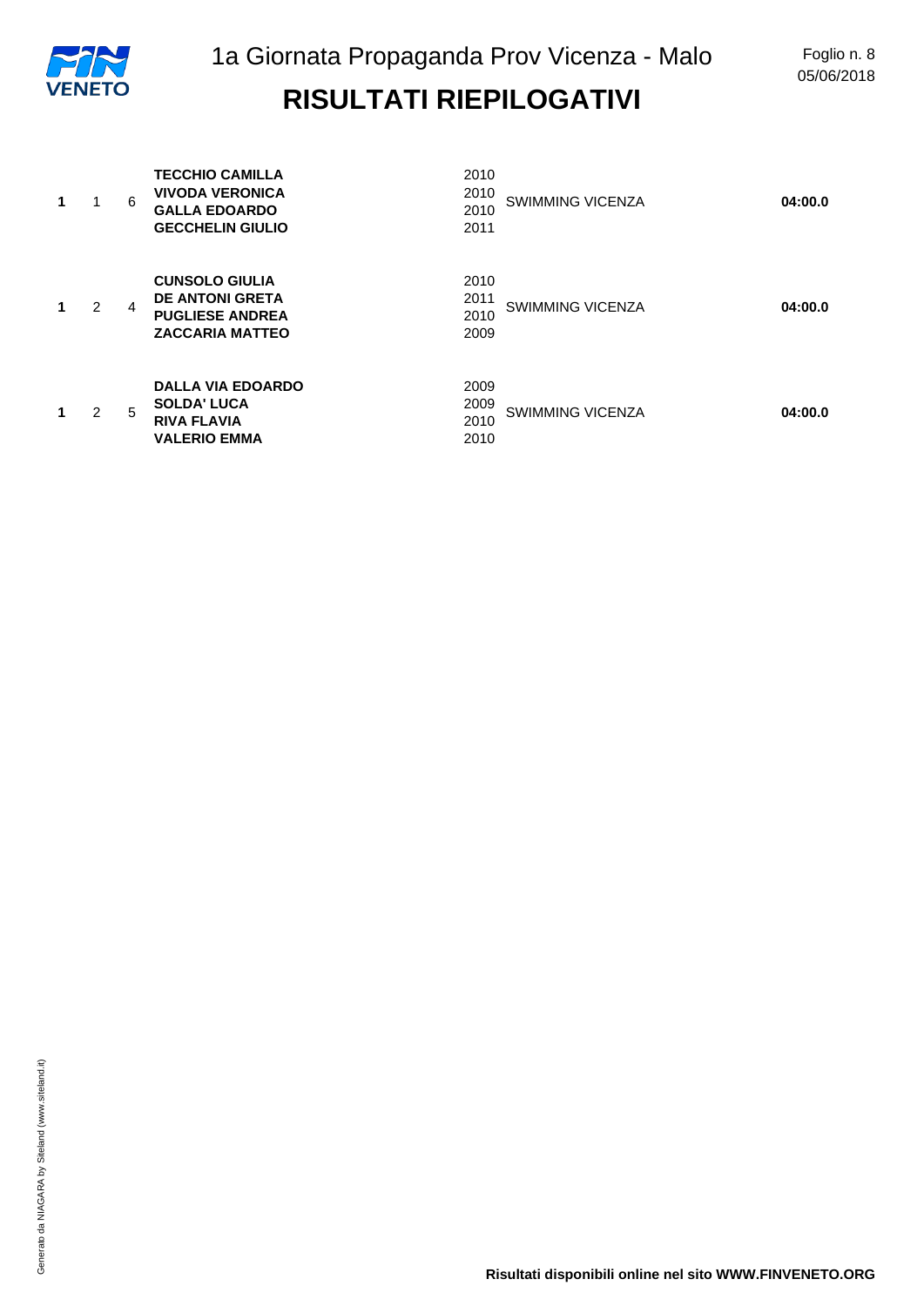| 1 | 6 | <b>TECCHIO CAMILLA</b><br><b>VIVODA VERONICA</b><br><b>GALLA EDOARDO</b><br><b>GECCHELIN GIULIO</b> | 2010<br>2010<br>2010<br>2011 | SWIMMING VICENZA        | 04:00.0 |
|---|---|-----------------------------------------------------------------------------------------------------|------------------------------|-------------------------|---------|
| 2 | 4 | <b>CUNSOLO GIULIA</b><br><b>DE ANTONI GRETA</b><br><b>PUGLIESE ANDREA</b><br><b>ZACCARIA MATTEO</b> | 2010<br>2011<br>2010<br>2009 | <b>SWIMMING VICENZA</b> | 04:00.0 |
| 2 | 5 | <b>DALLA VIA EDOARDO</b><br><b>SOLDA' LUCA</b><br><b>RIVA FLAVIA</b><br><b>VALERIO EMMA</b>         | 2009<br>2009<br>2010<br>2010 | <b>SWIMMING VICENZA</b> | 04:00.0 |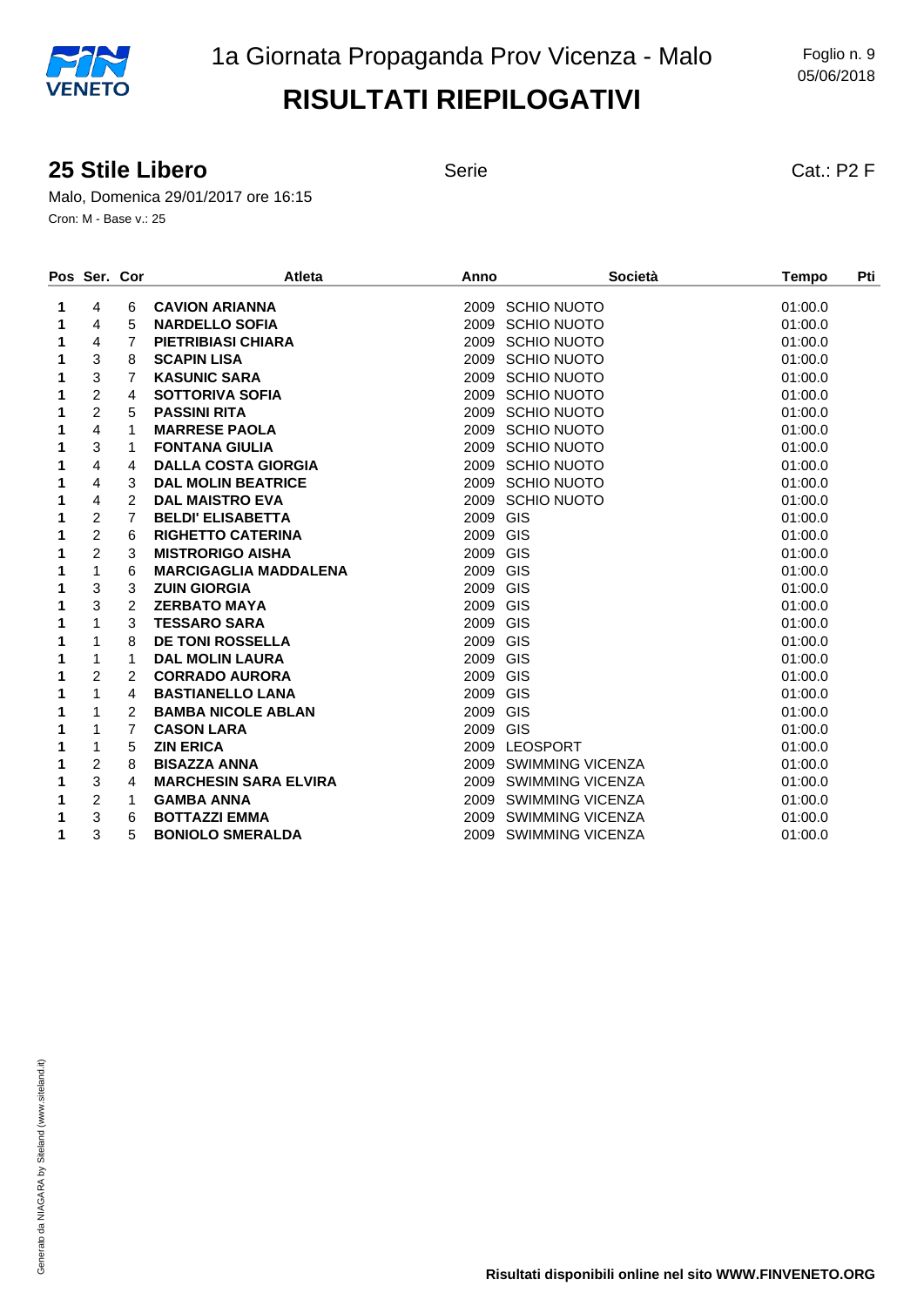05/06/2018

#### **25 Stile Libero** Serie Serie Cat.: P2 F

Malo, Domenica 29/01/2017 ore 16:15 Cron: M - Base v.: 25

|   | Pos Ser. Cor   |                | <b>Atleta</b>                | Anno             | <b>Società</b>        | Pti<br><b>Tempo</b> |  |
|---|----------------|----------------|------------------------------|------------------|-----------------------|---------------------|--|
| 1 | 4              | 6              | <b>CAVION ARIANNA</b>        | 2009 SCHIO NUOTO |                       | 01:00.0             |  |
| 1 | 4              | 5              | <b>NARDELLO SOFIA</b>        | 2009 SCHIO NUOTO |                       | 01:00.0             |  |
| 1 | 4              | $\overline{7}$ | PIETRIBIASI CHIARA           | 2009 SCHIO NUOTO |                       | 01:00.0             |  |
| 1 | 3              | 8              | <b>SCAPIN LISA</b>           | 2009 SCHIO NUOTO |                       | 01:00.0             |  |
| 1 | 3              | $\overline{7}$ | <b>KASUNIC SARA</b>          | 2009 SCHIO NUOTO |                       | 01:00.0             |  |
| 1 | $\overline{c}$ | 4              | <b>SOTTORIVA SOFIA</b>       | 2009 SCHIO NUOTO |                       | 01:00.0             |  |
| 1 | $\overline{c}$ | 5              | <b>PASSINI RITA</b>          | 2009 SCHIO NUOTO |                       | 01:00.0             |  |
| 1 | 4              | 1              | <b>MARRESE PAOLA</b>         | 2009 SCHIO NUOTO |                       | 01:00.0             |  |
| 1 | 3              | 1              | <b>FONTANA GIULIA</b>        | 2009 SCHIO NUOTO |                       | 01:00.0             |  |
| 1 | 4              | 4              | <b>DALLA COSTA GIORGIA</b>   | 2009 SCHIO NUOTO |                       | 01:00.0             |  |
| 1 | 4              | 3              | <b>DAL MOLIN BEATRICE</b>    | 2009 SCHIO NUOTO |                       | 01:00.0             |  |
| 1 | 4              | $\mathcal{P}$  | <b>DAL MAISTRO EVA</b>       | 2009 SCHIO NUOTO |                       | 01:00.0             |  |
| 1 | $\overline{2}$ | $\overline{7}$ | <b>BELDI' ELISABETTA</b>     | 2009 GIS         |                       | 01:00.0             |  |
| 1 | $\overline{2}$ | 6              | <b>RIGHETTO CATERINA</b>     | 2009 GIS         |                       | 01:00.0             |  |
| 1 | $\overline{2}$ | 3              | <b>MISTRORIGO AISHA</b>      | 2009 GIS         |                       | 01:00.0             |  |
| 1 | 1              | 6              | <b>MARCIGAGLIA MADDALENA</b> | 2009 GIS         |                       | 01:00.0             |  |
| 1 | 3              | 3              | <b>ZUIN GIORGIA</b>          | 2009 GIS         |                       | 01:00.0             |  |
| 1 | 3              | $\overline{2}$ | <b>ZERBATO MAYA</b>          | 2009 GIS         |                       | 01:00.0             |  |
| 1 | 1              | 3              | <b>TESSARO SARA</b>          | 2009 GIS         |                       | 01:00.0             |  |
| 1 | 1              | 8              | <b>DE TONI ROSSELLA</b>      | 2009 GIS         |                       | 01:00.0             |  |
| 1 | 1              | 1              | <b>DAL MOLIN LAURA</b>       | 2009 GIS         |                       | 01:00.0             |  |
| 1 | $\overline{c}$ | $\overline{2}$ | <b>CORRADO AURORA</b>        | 2009 GIS         |                       | 01:00.0             |  |
| 1 | 1              | 4              | <b>BASTIANELLO LANA</b>      | 2009 GIS         |                       | 01:00.0             |  |
| 1 | 1              | 2              | <b>BAMBA NICOLE ABLAN</b>    | 2009 GIS         |                       | 01:00.0             |  |
| 1 | 1              | 7              | <b>CASON LARA</b>            | 2009 GIS         |                       | 01:00.0             |  |
| 1 | 1              | 5              | <b>ZIN ERICA</b>             | 2009 LEOSPORT    |                       | 01:00.0             |  |
| 1 | $\overline{c}$ | 8              | <b>BISAZZA ANNA</b>          |                  | 2009 SWIMMING VICENZA | 01:00.0             |  |
| 1 | 3              | 4              | <b>MARCHESIN SARA ELVIRA</b> |                  | 2009 SWIMMING VICENZA | 01:00.0             |  |
| 1 | $\overline{c}$ | 1              | <b>GAMBA ANNA</b>            |                  | 2009 SWIMMING VICENZA | 01:00.0             |  |
| 1 | 3              | 6              | <b>BOTTAZZI EMMA</b>         |                  | 2009 SWIMMING VICENZA | 01:00.0             |  |
| 1 | 3              | 5              | <b>BONIOLO SMERALDA</b>      |                  | 2009 SWIMMING VICENZA | 01:00.0             |  |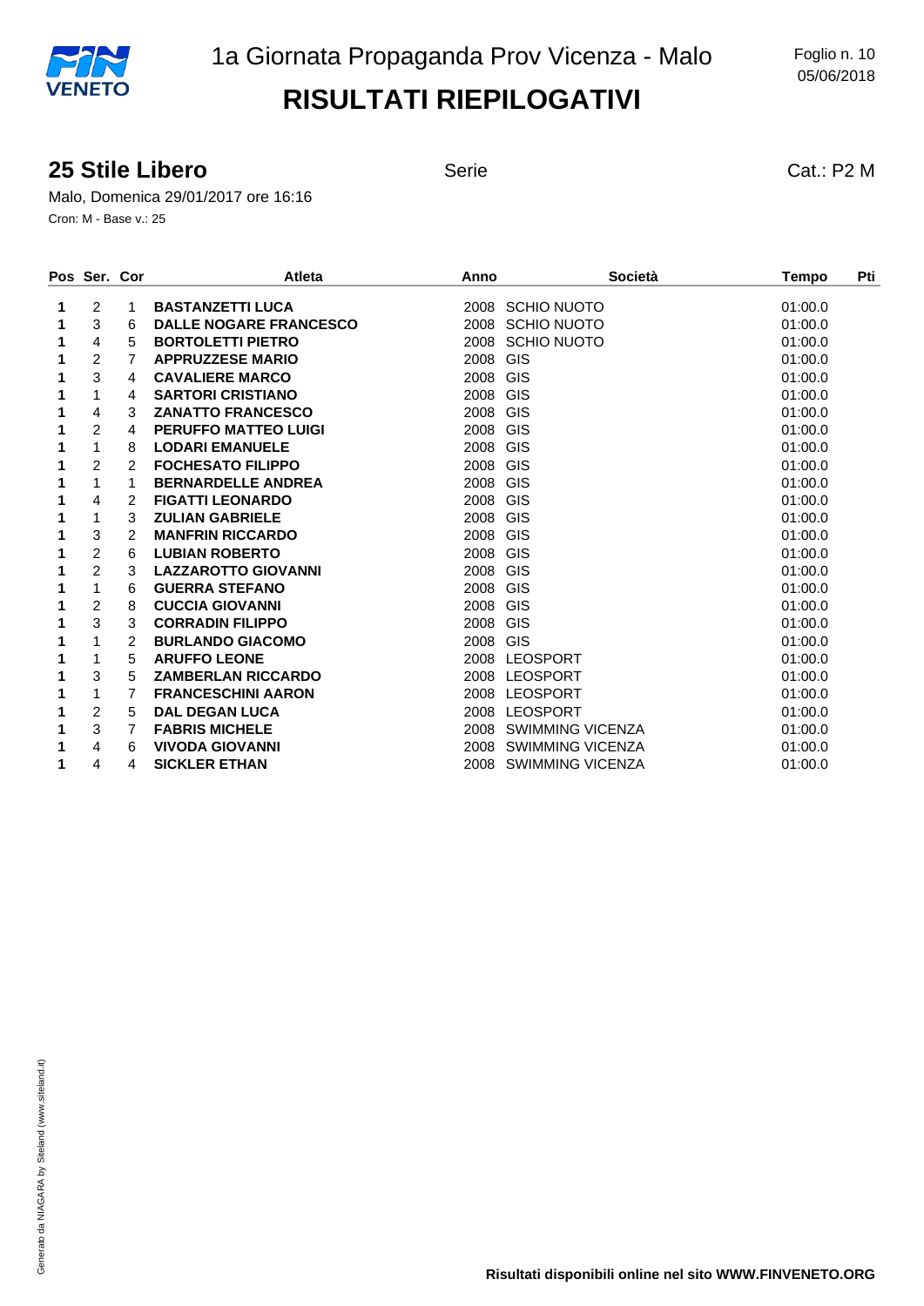#### **25 Stile Libero** Serie Serie Cat.: P2 M

Malo, Domenica 29/01/2017 ore 16:16 Cron: M - Base v.: 25

|   | Pos Ser. Cor   |               | <b>Atleta</b>                 | Anno             | Società               | Pti<br><b>Tempo</b> |  |
|---|----------------|---------------|-------------------------------|------------------|-----------------------|---------------------|--|
| 1 | 2              | 1             | <b>BASTANZETTI LUCA</b>       | 2008 SCHIO NUOTO |                       | 01:00.0             |  |
| 1 | 3              | 6             | <b>DALLE NOGARE FRANCESCO</b> | 2008 SCHIO NUOTO |                       | 01:00.0             |  |
| 1 | 4              | 5             | <b>BORTOLETTI PIETRO</b>      | 2008 SCHIO NUOTO |                       | 01:00.0             |  |
| 1 | $\overline{c}$ | 7             | <b>APPRUZZESE MARIO</b>       | 2008 GIS         |                       | 01:00.0             |  |
|   | 3              | 4             | <b>CAVALIERE MARCO</b>        | 2008 GIS         |                       | 01:00.0             |  |
| 1 | 1              | 4             | <b>SARTORI CRISTIANO</b>      | 2008 GIS         |                       | 01:00.0             |  |
|   | 4              | 3             | <b>ZANATTO FRANCESCO</b>      | 2008 GIS         |                       | 01:00.0             |  |
| 1 | $\overline{2}$ | 4             | <b>PERUFFO MATTEO LUIGI</b>   | 2008 GIS         |                       | 01:00.0             |  |
|   | 1              | 8             | <b>LODARI EMANUELE</b>        | 2008 GIS         |                       | 01:00.0             |  |
|   | $\overline{2}$ | 2             | <b>FOCHESATO FILIPPO</b>      | 2008 GIS         |                       | 01:00.0             |  |
|   | 1              | 1             | <b>BERNARDELLE ANDREA</b>     | 2008 GIS         |                       | 01:00.0             |  |
|   | 4              | 2             | <b>FIGATTI LEONARDO</b>       | 2008 GIS         |                       | 01:00.0             |  |
| 1 | 1              | 3             | <b>ZULIAN GABRIELE</b>        | 2008 GIS         |                       | 01:00.0             |  |
| 1 | 3              | 2             | <b>MANFRIN RICCARDO</b>       | 2008 GIS         |                       | 01:00.0             |  |
| 1 | $\overline{c}$ | 6             | <b>LUBIAN ROBERTO</b>         | 2008 GIS         |                       | 01:00.0             |  |
|   | $\overline{c}$ | 3             | <b>LAZZAROTTO GIOVANNI</b>    | 2008 GIS         |                       | 01:00.0             |  |
|   | 1              | 6             | <b>GUERRA STEFANO</b>         | 2008 GIS         |                       | 01:00.0             |  |
|   | $\overline{c}$ | 8             | <b>CUCCIA GIOVANNI</b>        | 2008 GIS         |                       | 01:00.0             |  |
|   | 3              | 3             | <b>CORRADIN FILIPPO</b>       | 2008 GIS         |                       | 01:00.0             |  |
| 1 | 1              | $\mathcal{P}$ | <b>BURLANDO GIACOMO</b>       | 2008 GIS         |                       | 01:00.0             |  |
| 1 | 1              | 5             | <b>ARUFFO LEONE</b>           | 2008 LEOSPORT    |                       | 01:00.0             |  |
| 1 | 3              | 5             | <b>ZAMBERLAN RICCARDO</b>     | 2008 LEOSPORT    |                       | 01:00.0             |  |
|   | 1              | 7             | <b>FRANCESCHINI AARON</b>     | 2008 LEOSPORT    |                       | 01:00.0             |  |
| 1 | $\overline{2}$ | 5             | <b>DAL DEGAN LUCA</b>         | 2008 LEOSPORT    |                       | 01:00.0             |  |
|   | 3              | 7             | <b>FABRIS MICHELE</b>         |                  | 2008 SWIMMING VICENZA | 01:00.0             |  |
|   | 4              | 6             | <b>VIVODA GIOVANNI</b>        |                  | 2008 SWIMMING VICENZA | 01:00.0             |  |
|   | 4              | 4             | <b>SICKLER ETHAN</b>          |                  | 2008 SWIMMING VICENZA | 01:00.0             |  |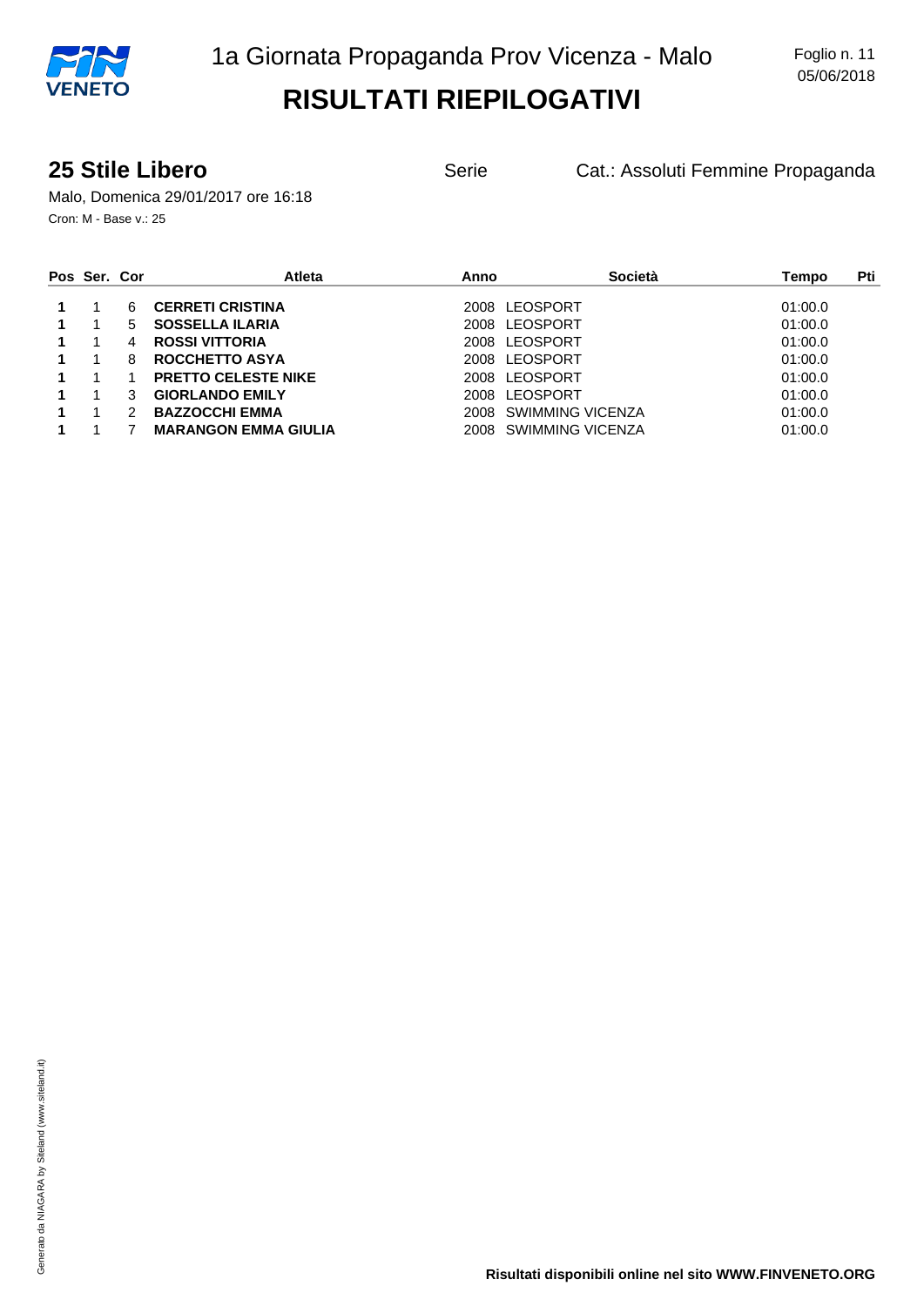**25 Stile Libero** Serie Cat.: Assoluti Femmine Propaganda

Malo, Domenica 29/01/2017 ore 16:18 Cron: M - Base v.: 25

| Pos Ser. Cor |   | <b>Atleta</b>               | Anno                  | Società          | Pti<br>Tempo |
|--------------|---|-----------------------------|-----------------------|------------------|--------------|
|              | 6 | <b>CERRETI CRISTINA</b>     | 2008 LEOSPORT         |                  | 01:00.0      |
|              | 5 | <b>SOSSELLA ILARIA</b>      | LEOSPORT<br>2008      |                  | 01:00.0      |
|              | 4 | <b>ROSSI VITTORIA</b>       | 2008 LEOSPORT         |                  | 01:00.0      |
|              | 8 | ROCCHETTO ASYA              | LEOSPORT<br>2008      |                  | 01:00.0      |
|              |   | <b>PRETTO CELESTE NIKE</b>  | 2008 LEOSPORT         |                  | 01:00.0      |
|              | 3 | <b>GIORLANDO EMILY</b>      | LEOSPORT<br>2008      |                  | 01:00.0      |
|              |   | <b>BAZZOCCHI EMMA</b>       | 2008 SWIMMING VICENZA |                  | 01:00.0      |
|              |   | <b>MARANGON EMMA GIULIA</b> | 2008                  | SWIMMING VICENZA | 01:00.0      |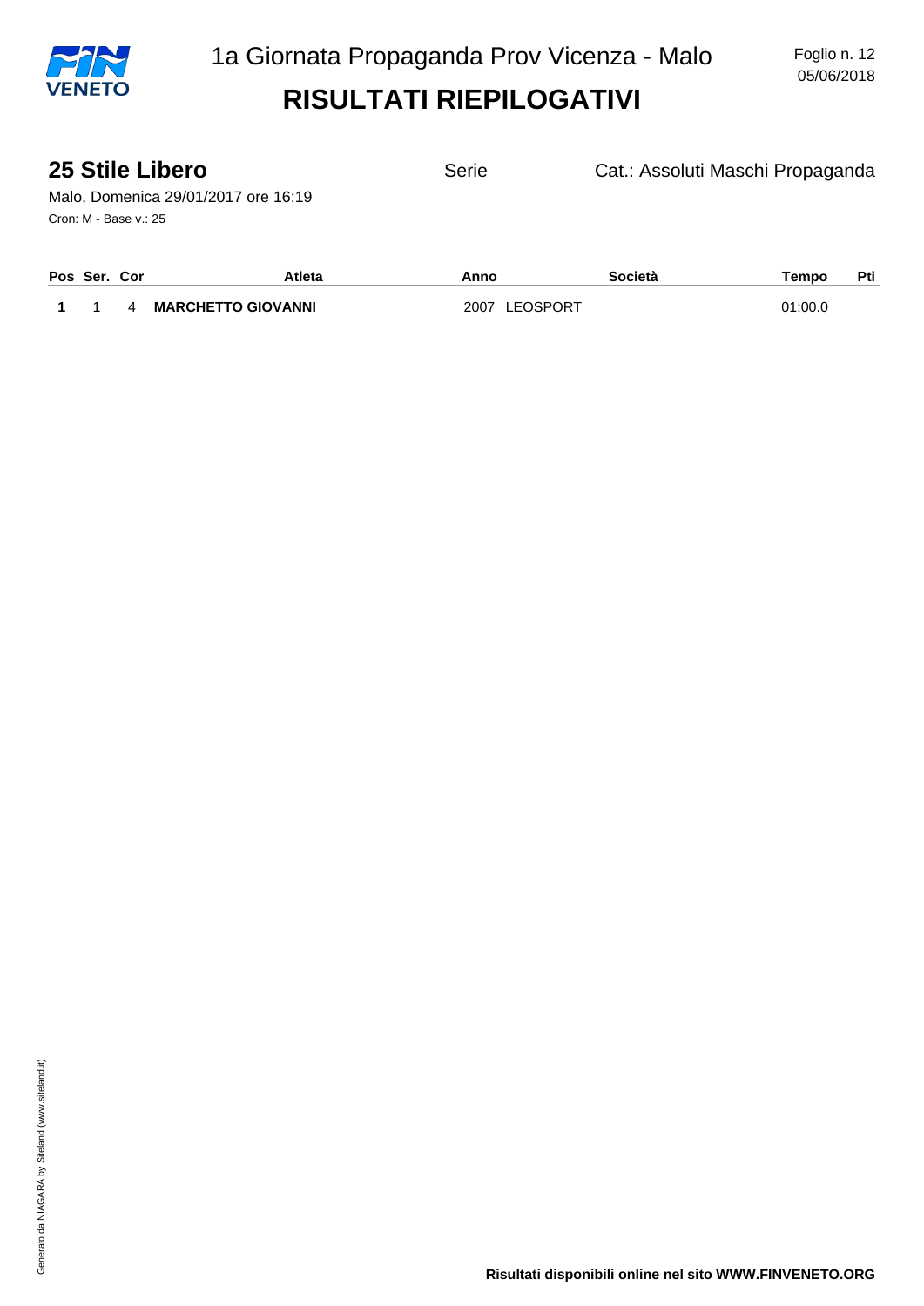

| <b>25 Stile Libero</b><br>Malo, Domenica 29/01/2017 ore 16:19<br>Cron: M - Base v.: 25 |               | Serie | Cat.: Assoluti Maschi Propaganda |       |     |
|----------------------------------------------------------------------------------------|---------------|-------|----------------------------------|-------|-----|
| Pos Ser. Cor                                                                           | <b>Atleta</b> | Anno  | Società                          | Tempo | Pti |

|  |  |  | 4 MARCHETTO GIOVANNI |  |
|--|--|--|----------------------|--|
|--|--|--|----------------------|--|

**1** 1 4 **MARCHETTO GIOVANNI** 2007 LEOSPORT 01:00.0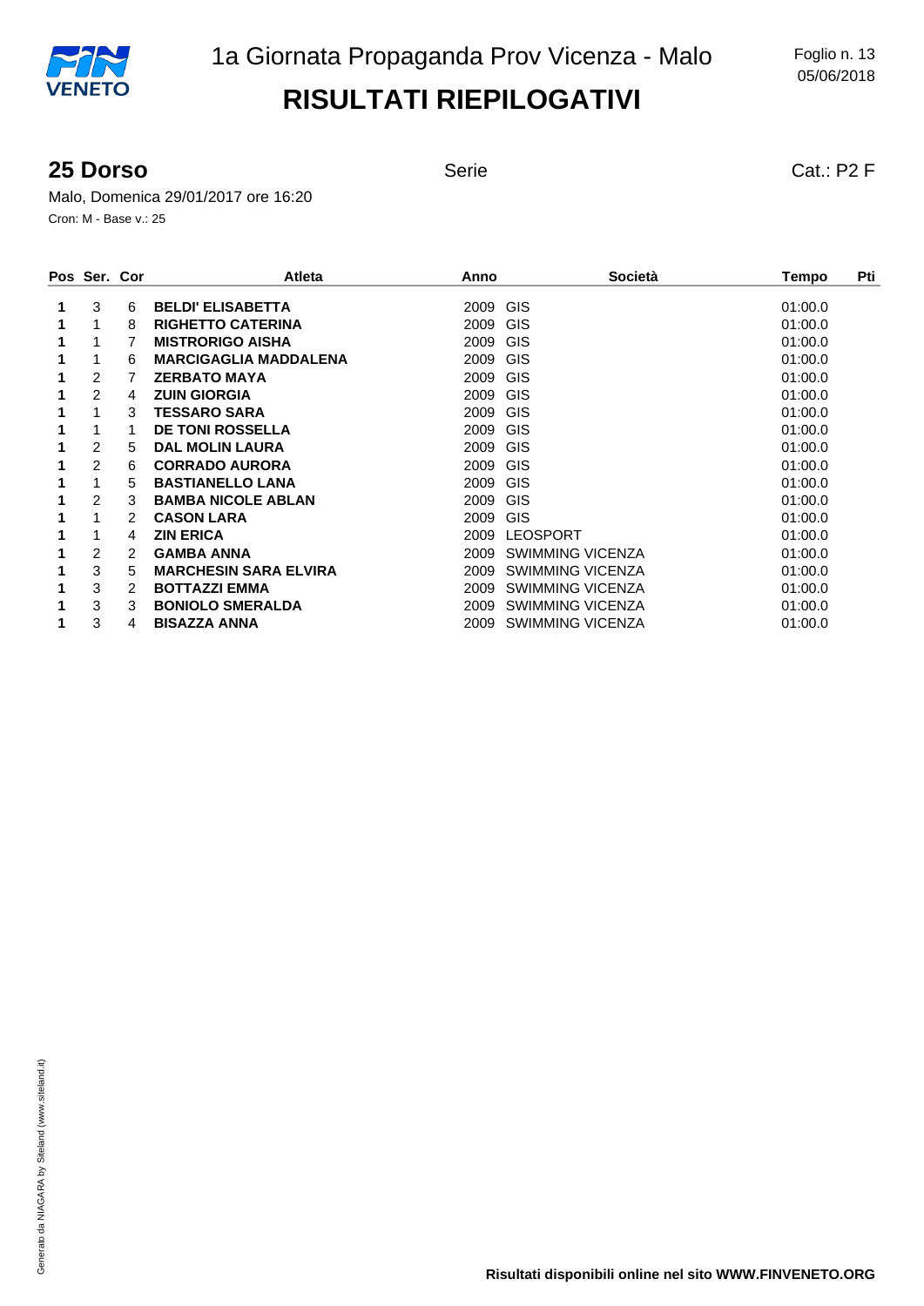#### **25 Dorso** Serie Serie Cat.: P2 F

Malo, Domenica 29/01/2017 ore 16:20 Cron: M - Base v.: 25

| Pos Ser. Cor   |   | <b>Atleta</b>                | Anno | <b>Società</b>          | Pti<br>Tempo |
|----------------|---|------------------------------|------|-------------------------|--------------|
| 3              | 6 | <b>BELDI' ELISABETTA</b>     | 2009 | GIS                     | 01:00.0      |
|                | 8 | <b>RIGHETTO CATERINA</b>     | 2009 | GIS                     | 01:00.0      |
|                |   | <b>MISTRORIGO AISHA</b>      | 2009 | GIS                     | 01:00.0      |
|                | 6 | <b>MARCIGAGLIA MADDALENA</b> | 2009 | GIS                     | 01:00.0      |
| 2              |   | <b>ZERBATO MAYA</b>          | 2009 | GIS                     | 01:00.0      |
| $\overline{2}$ | 4 | <b>ZUIN GIORGIA</b>          | 2009 | GIS                     | 01:00.0      |
|                | 3 | <b>TESSARO SARA</b>          | 2009 | GIS                     | 01:00.0      |
|                |   | <b>DE TONI ROSSELLA</b>      | 2009 | GIS                     | 01:00.0      |
| 2              | 5 | <b>DAL MOLIN LAURA</b>       | 2009 | GIS                     | 01:00.0      |
| $\overline{2}$ | 6 | <b>CORRADO AURORA</b>        | 2009 | <b>GIS</b>              | 01:00.0      |
|                | 5 | <b>BASTIANELLO LANA</b>      | 2009 | GIS                     | 01:00.0      |
| 2              | 3 | <b>BAMBA NICOLE ABLAN</b>    | 2009 | GIS                     | 01:00.0      |
|                | 2 | <b>CASON LARA</b>            | 2009 | GIS                     | 01:00.0      |
|                | 4 | <b>ZIN ERICA</b>             | 2009 | <b>LEOSPORT</b>         | 01:00.0      |
| 2              | 2 | <b>GAMBA ANNA</b>            | 2009 | SWIMMING VICENZA        | 01:00.0      |
| 3              | 5 | <b>MARCHESIN SARA ELVIRA</b> | 2009 | <b>SWIMMING VICENZA</b> | 01:00.0      |
| 3              | 2 | <b>BOTTAZZI EMMA</b>         | 2009 | <b>SWIMMING VICENZA</b> | 01:00.0      |
| 3              | 3 | <b>BONIOLO SMERALDA</b>      | 2009 | SWIMMING VICENZA        | 01:00.0      |
| 3              | 4 | <b>BISAZZA ANNA</b>          | 2009 | <b>SWIMMING VICENZA</b> | 01:00.0      |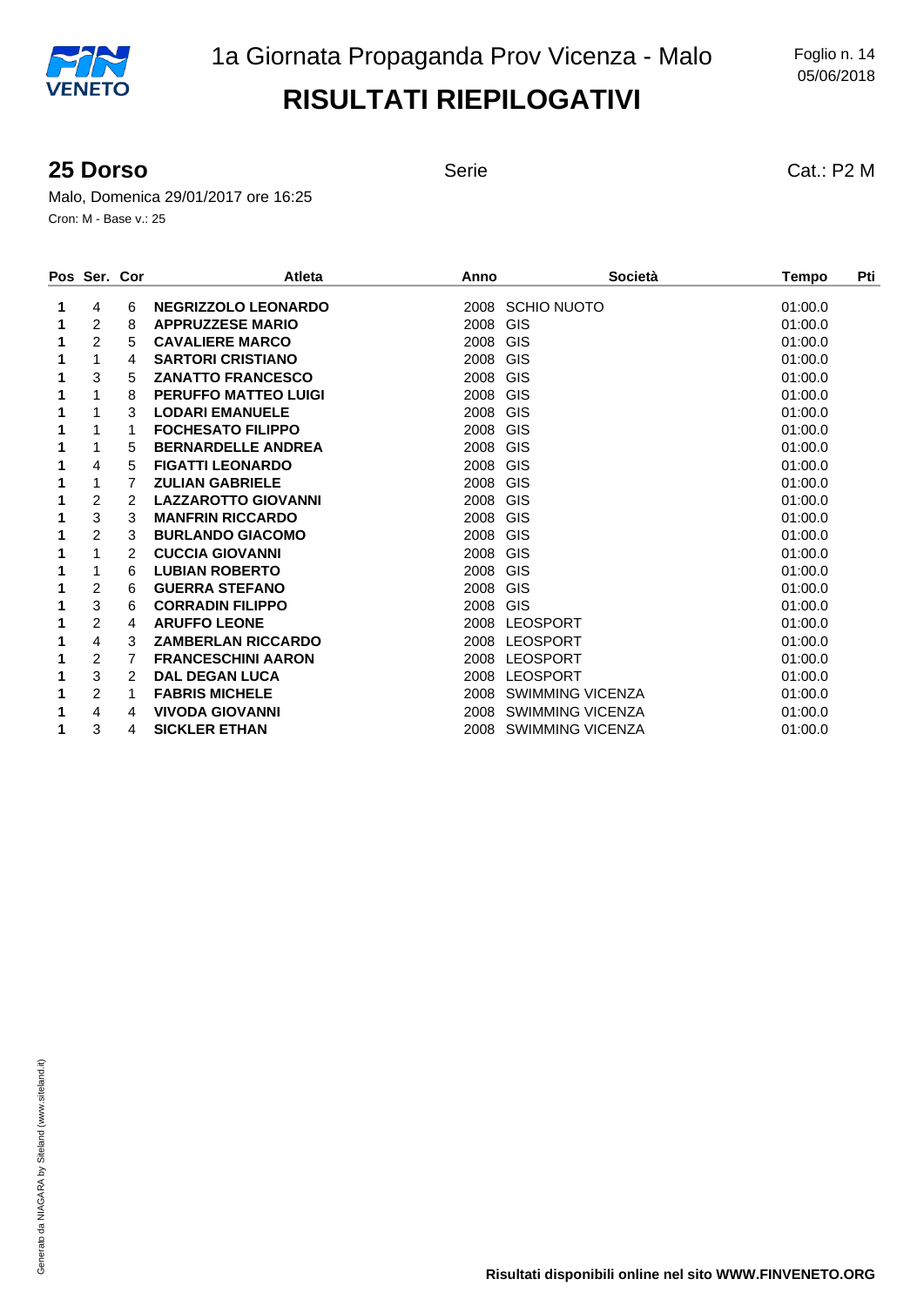#### **25 Dorso** Serie Serie Cat.: P2 M

Malo, Domenica 29/01/2017 ore 16:25 Cron: M - Base v.: 25

|   | Pos Ser. Cor   |   | <b>Atleta</b>               | Anno                    | Società                 | Pti<br><b>Tempo</b> |
|---|----------------|---|-----------------------------|-------------------------|-------------------------|---------------------|
| 1 | 4              | 6 | <b>NEGRIZZOLO LEONARDO</b>  | 2008 SCHIO NUOTO        |                         | 01:00.0             |
|   | $\overline{2}$ | 8 | <b>APPRUZZESE MARIO</b>     | <b>GIS</b><br>2008      |                         | 01:00.0             |
| 1 | $\overline{2}$ | 5 | <b>CAVALIERE MARCO</b>      | <b>GIS</b><br>2008      |                         | 01:00.0             |
|   |                | 4 | <b>SARTORI CRISTIANO</b>    | 2008 GIS                |                         | 01:00.0             |
|   | 3              | 5 | <b>ZANATTO FRANCESCO</b>    | <b>GIS</b><br>2008      |                         | 01:00.0             |
|   |                | 8 | <b>PERUFFO MATTEO LUIGI</b> | GIS<br>2008             |                         | 01:00.0             |
|   |                | 3 | <b>LODARI EMANUELE</b>      | 2008 GIS                |                         | 01:00.0             |
|   |                | 1 | <b>FOCHESATO FILIPPO</b>    | <b>GIS</b><br>2008      |                         | 01:00.0             |
|   |                | 5 | <b>BERNARDELLE ANDREA</b>   | 2008 GIS                |                         | 01:00.0             |
|   | 4              | 5 | <b>FIGATTI LEONARDO</b>     | 2008<br><b>GIS</b>      |                         | 01:00.0             |
|   |                | 7 | <b>ZULIAN GABRIELE</b>      | <b>GIS</b><br>2008      |                         | 01:00.0             |
|   | 2              | 2 | <b>LAZZAROTTO GIOVANNI</b>  | 2008 GIS                |                         | 01:00.0             |
|   | 3              | 3 | <b>MANFRIN RICCARDO</b>     | <b>GIS</b><br>2008      |                         | 01:00.0             |
| 1 | $\overline{2}$ | 3 | <b>BURLANDO GIACOMO</b>     | 2008<br><b>GIS</b>      |                         | 01:00.0             |
|   |                | 2 | <b>CUCCIA GIOVANNI</b>      | 2008 GIS                |                         | 01:00.0             |
| 1 | 1              | 6 | <b>LUBIAN ROBERTO</b>       | GIS<br>2008             |                         | 01:00.0             |
|   | 2              | 6 | <b>GUERRA STEFANO</b>       | <b>GIS</b><br>2008      |                         | 01:00.0             |
|   | 3              | 6 | <b>CORRADIN FILIPPO</b>     | GIS<br>2008             |                         | 01:00.0             |
|   | 2              | 4 | <b>ARUFFO LEONE</b>         | 2008<br><b>LEOSPORT</b> |                         | 01:00.0             |
|   | 4              | 3 | <b>ZAMBERLAN RICCARDO</b>   | 2008 LEOSPORT           |                         | 01:00.0             |
|   | $\overline{2}$ | 7 | <b>FRANCESCHINI AARON</b>   | <b>LEOSPORT</b><br>2008 |                         | 01:00.0             |
|   | 3              | 2 | <b>DAL DEGAN LUCA</b>       | <b>LEOSPORT</b><br>2008 |                         | 01:00.0             |
|   | $\overline{2}$ | 1 | <b>FABRIS MICHELE</b>       | 2008                    | SWIMMING VICENZA        | 01:00.0             |
|   | 4              | 4 | <b>VIVODA GIOVANNI</b>      | 2008                    | <b>SWIMMING VICENZA</b> | 01:00.0             |
|   | 3              | 4 | <b>SICKLER ETHAN</b>        | 2008                    | <b>SWIMMING VICENZA</b> | 01:00.0             |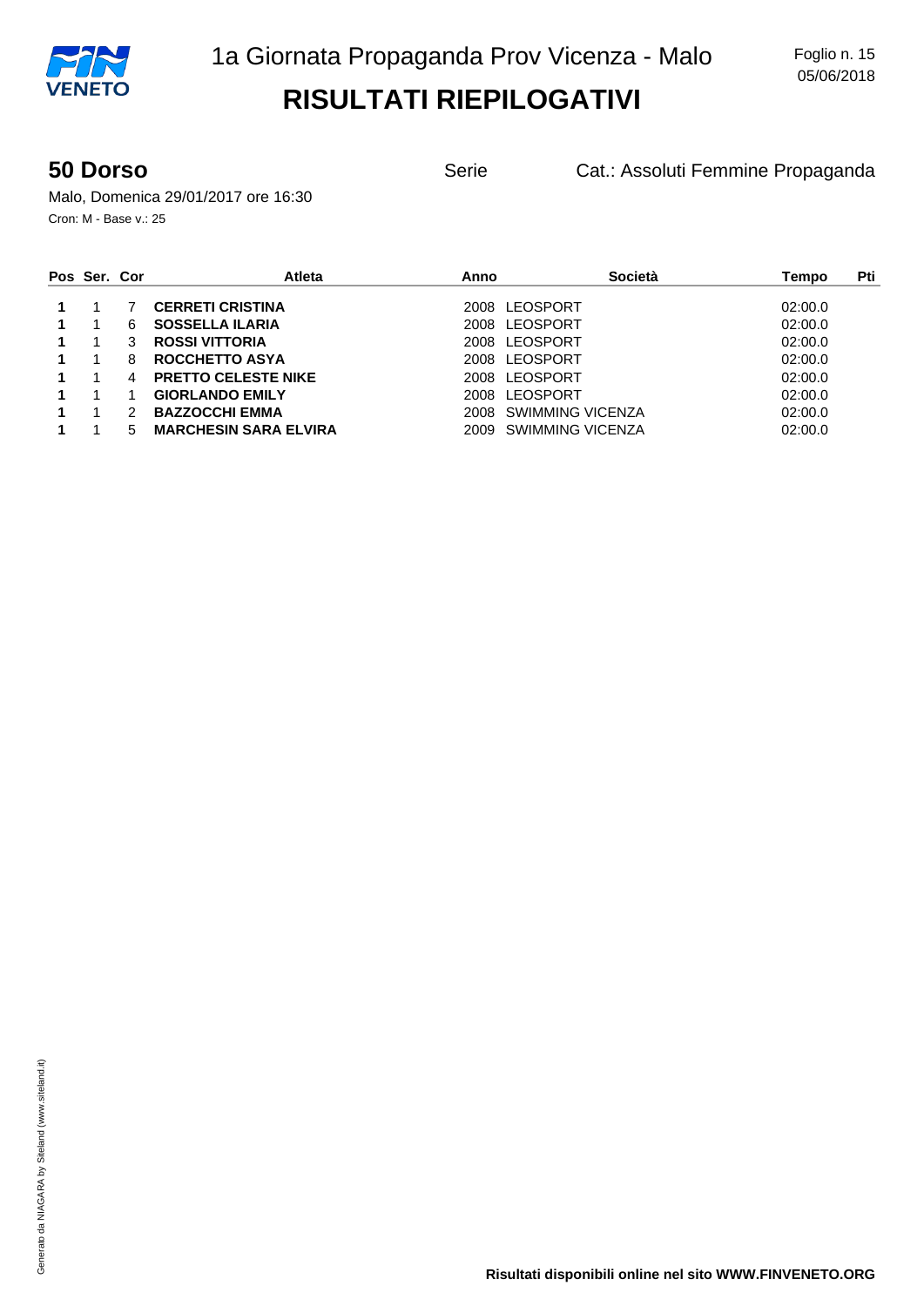**50 Dorso Serie** Cat.: Assoluti Femmine Propaganda

Malo, Domenica 29/01/2017 ore 16:30 Cron: M - Base v.: 25

| Pos Ser. Cor |   | <b>Atleta</b>                | Anno          | Società          | Pti<br>Tempo |
|--------------|---|------------------------------|---------------|------------------|--------------|
|              |   | <b>CERRETI CRISTINA</b>      | 2008 LEOSPORT |                  | 02:00.0      |
|              | 6 | <b>SOSSELLA ILARIA</b>       | 2008          | LEOSPORT         | 02:00.0      |
|              | 3 | <b>ROSSI VITTORIA</b>        | 2008 LEOSPORT |                  | 02:00.0      |
|              | 8 | ROCCHETTO ASYA               | 2008          | LEOSPORT         | 02:00.0      |
|              | 4 | <b>PRETTO CELESTE NIKE</b>   | 2008 LEOSPORT |                  | 02:00.0      |
|              |   | <b>GIORLANDO EMILY</b>       | 2008          | LEOSPORT         | 02:00.0      |
|              |   | <b>BAZZOCCHI EMMA</b>        | 2008          | SWIMMING VICENZA | 02:00.0      |
|              | 5 | <b>MARCHESIN SARA ELVIRA</b> | 2009          | SWIMMING VICENZA | 02:00.0      |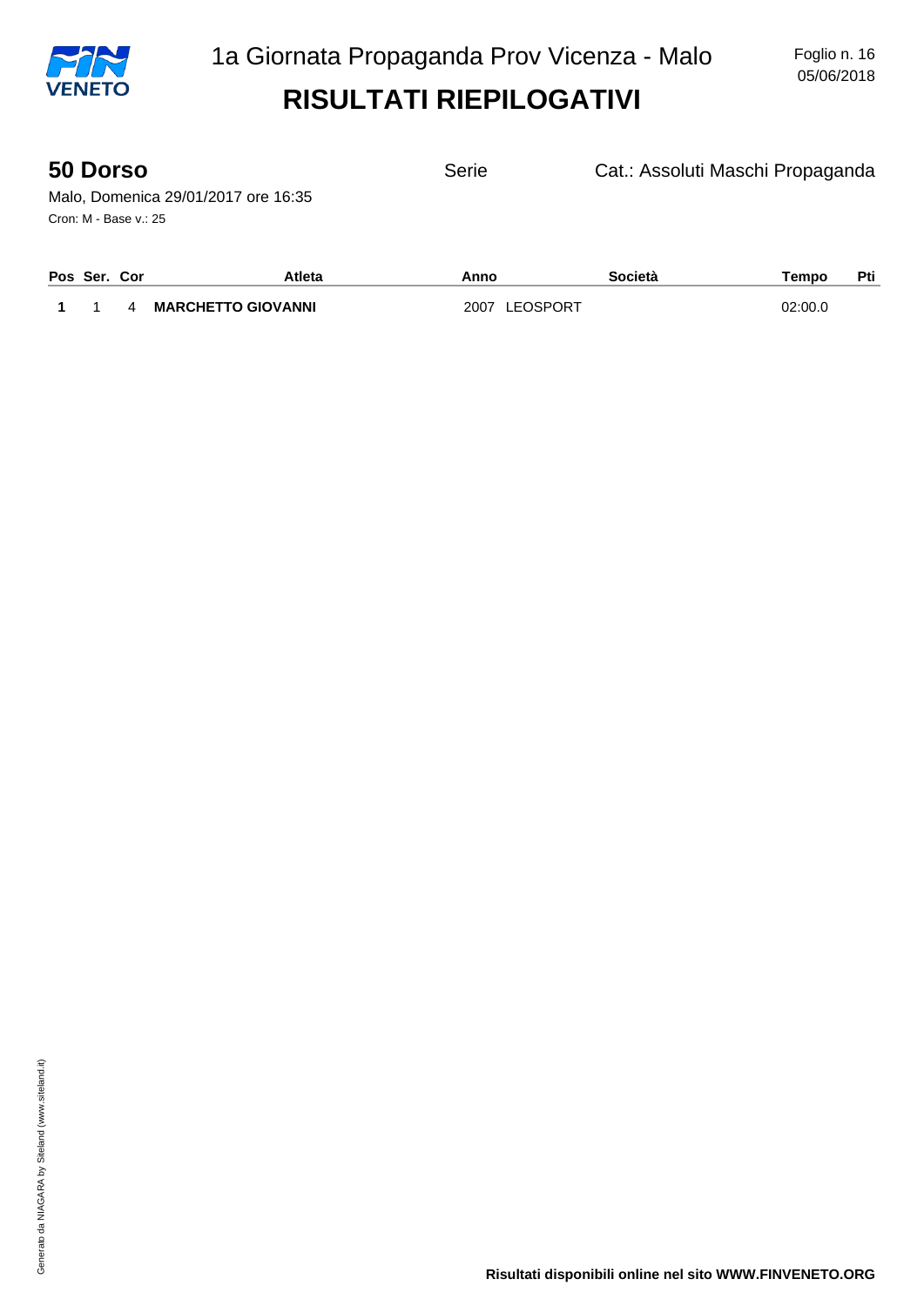

| <b>50 Dorso</b>                     | Serie | Cat.: Assoluti Maschi Propaganda |
|-------------------------------------|-------|----------------------------------|
| Malo, Domenica 29/01/2017 ore 16:35 |       |                                  |
| Cron: M - Base v.: 25               |       |                                  |

| Pos Ser. Cor |   | Atleta                    | Anno          | Società | rempo   | Pti |
|--------------|---|---------------------------|---------------|---------|---------|-----|
|              | Λ | <b>MARCHETTO GIOVANNI</b> | 2007 LEOSPORT |         | 02:00.0 |     |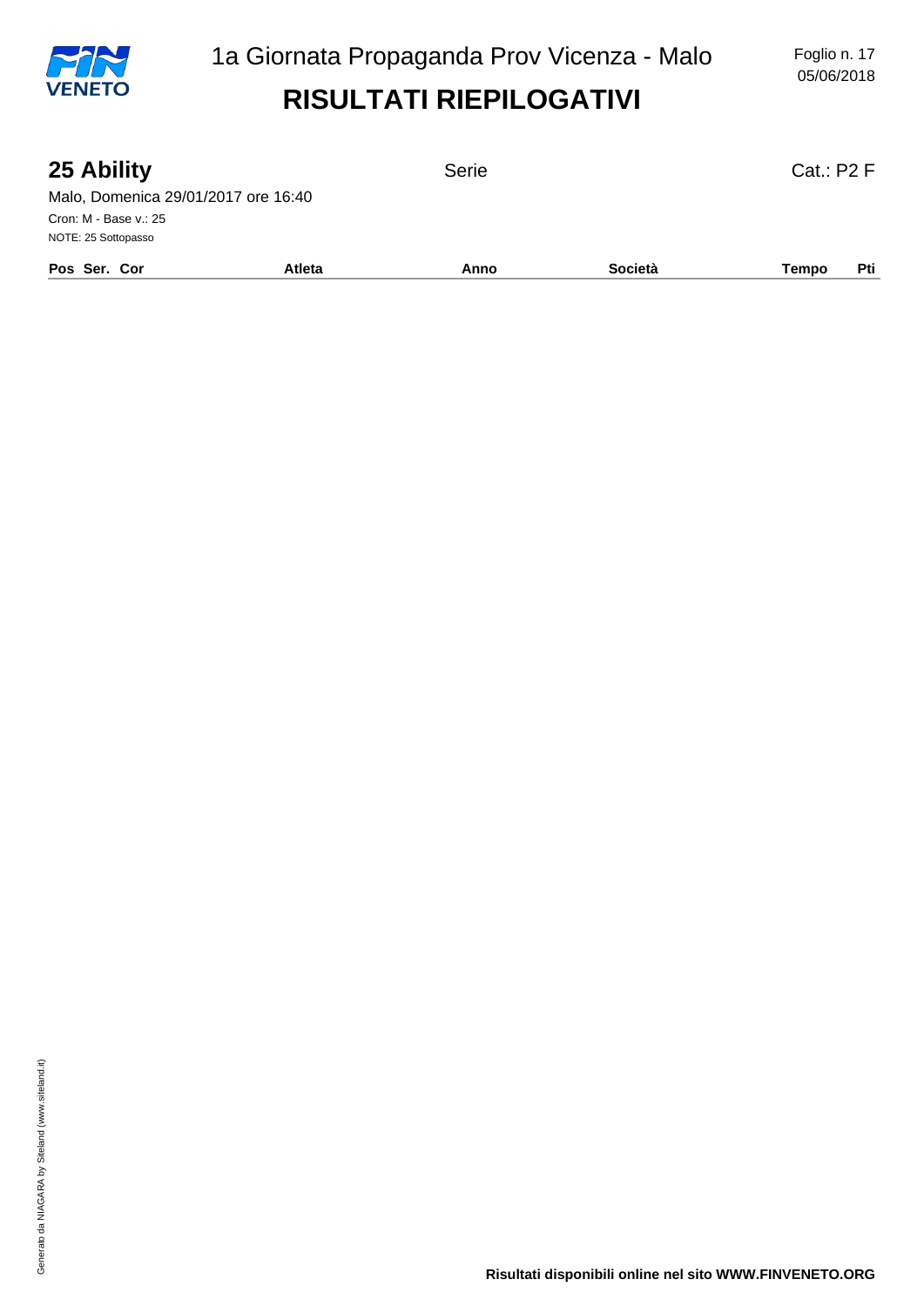

05/06/2018

| 25 Ability                          |               | Serie |         | Cat: P2 F    |
|-------------------------------------|---------------|-------|---------|--------------|
| Malo, Domenica 29/01/2017 ore 16:40 |               |       |         |              |
| Cron: M - Base v.: 25               |               |       |         |              |
| NOTE: 25 Sottopasso                 |               |       |         |              |
| Pos Ser. Cor                        | <b>Atleta</b> | Anno  | Società | Pti<br>Tempo |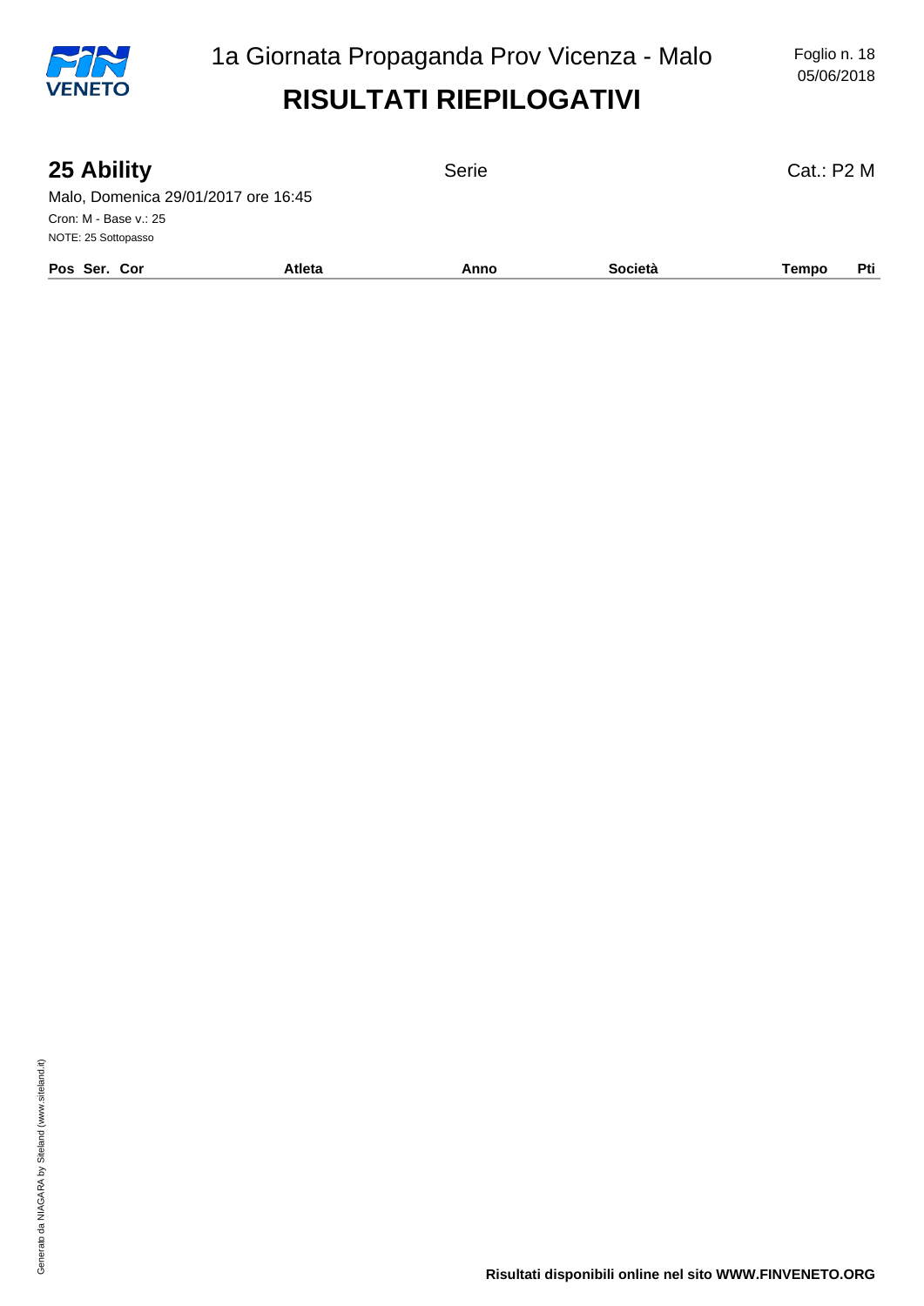

05/06/2018

| 25 Ability                          |               | Serie |         | Cat.: P2 M   |
|-------------------------------------|---------------|-------|---------|--------------|
| Malo, Domenica 29/01/2017 ore 16:45 |               |       |         |              |
| Cron: M - Base v.: 25               |               |       |         |              |
| NOTE: 25 Sottopasso                 |               |       |         |              |
| Pos Ser. Cor                        | <b>Atleta</b> | Anno  | Società | Pti<br>Tempo |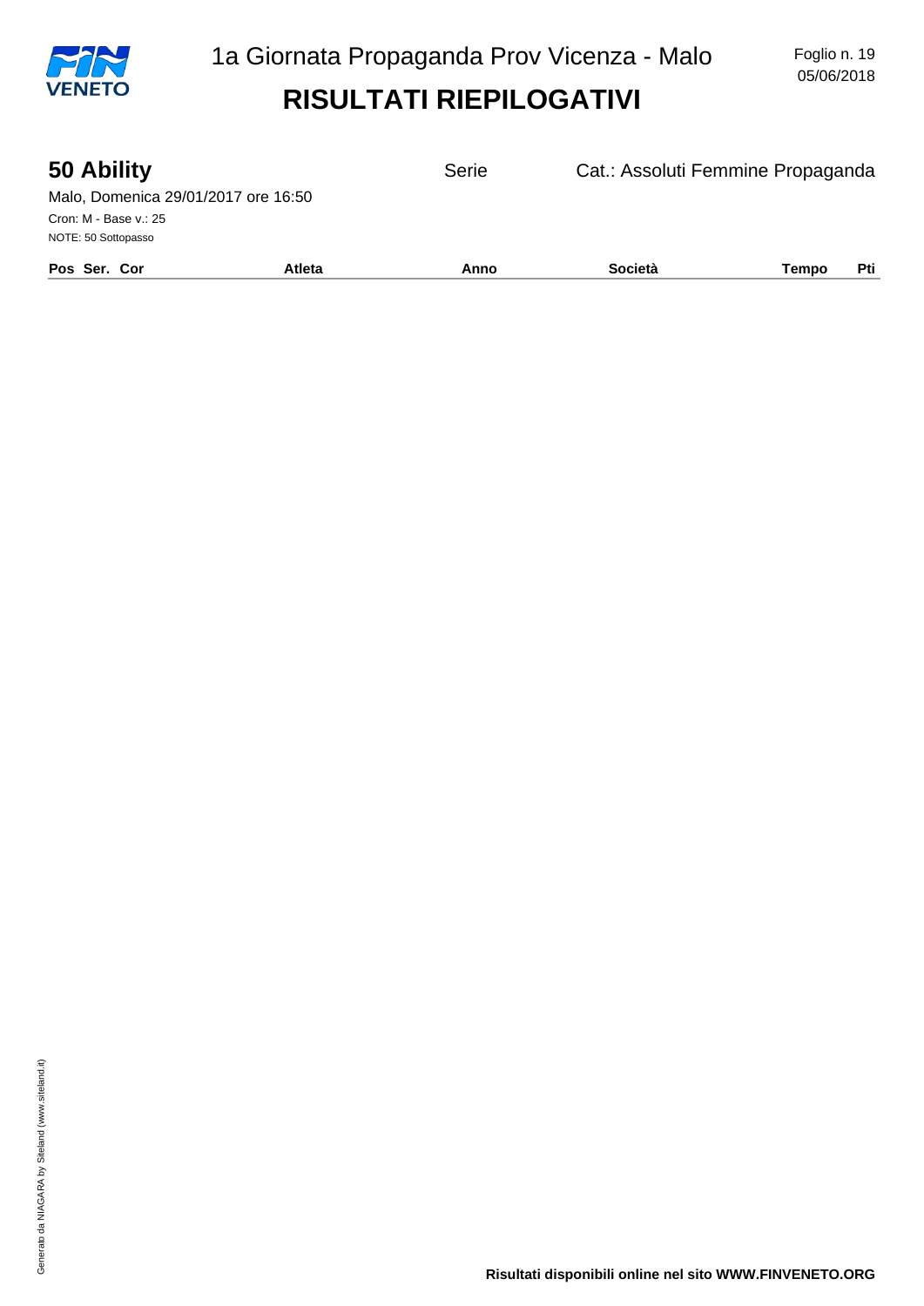

| 50 Ability                          |               | Serie | Cat.: Assoluti Femmine Propaganda |       |     |
|-------------------------------------|---------------|-------|-----------------------------------|-------|-----|
| Malo, Domenica 29/01/2017 ore 16:50 |               |       |                                   |       |     |
| Cron: M - Base v.: 25               |               |       |                                   |       |     |
| NOTE: 50 Sottopasso                 |               |       |                                   |       |     |
| Pos Ser. Cor                        | <b>Atleta</b> | Anno  | Società                           | Tempo | Pti |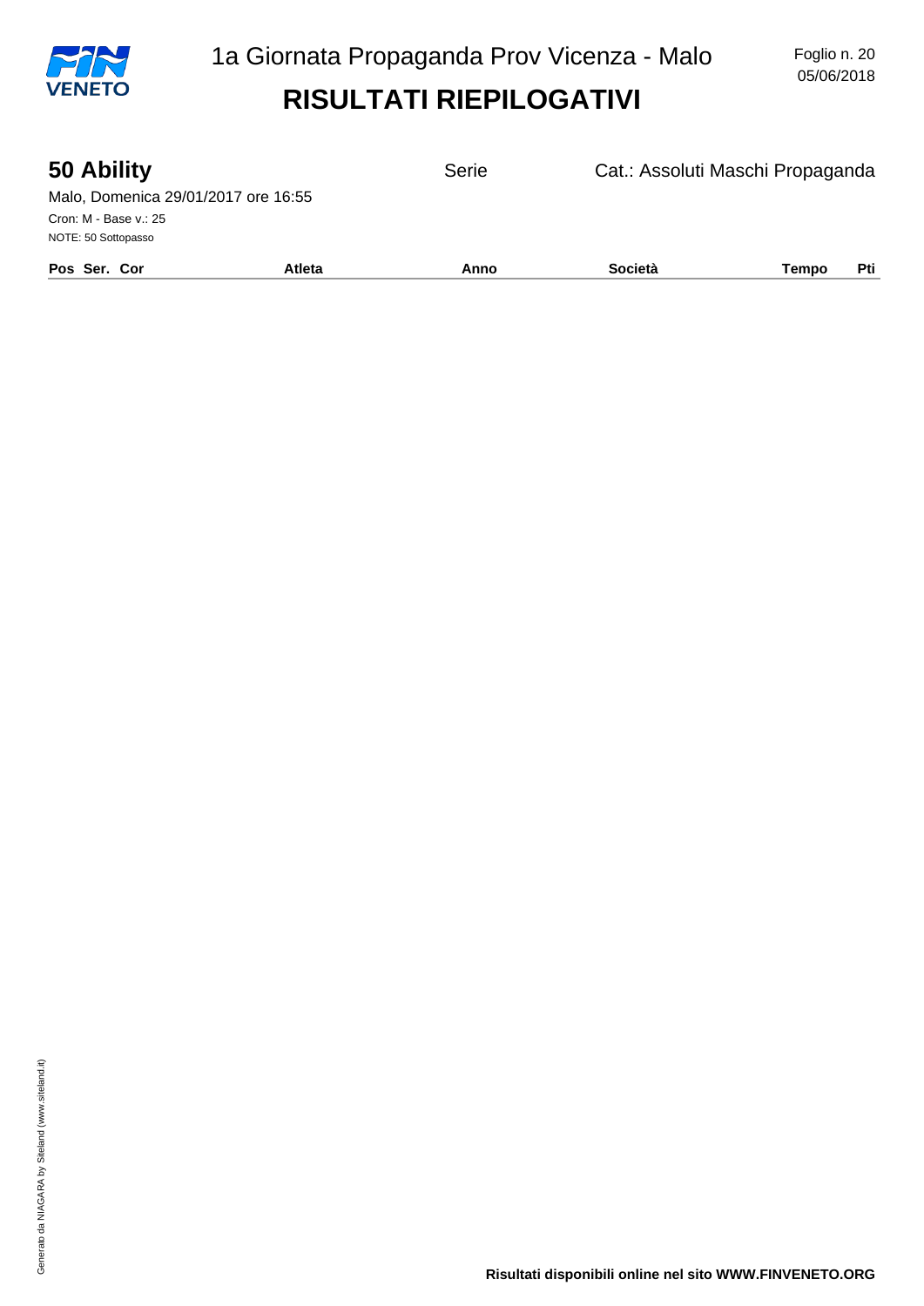

| 50 Ability                          |        | Serie | Cat.: Assoluti Maschi Propaganda |       |     |
|-------------------------------------|--------|-------|----------------------------------|-------|-----|
| Malo, Domenica 29/01/2017 ore 16:55 |        |       |                                  |       |     |
| Cron: M - Base v.: 25               |        |       |                                  |       |     |
| NOTE: 50 Sottopasso                 |        |       |                                  |       |     |
| Pos Ser. Cor                        | Atleta | Anno  | <b>Società</b>                   | Tempo | Pti |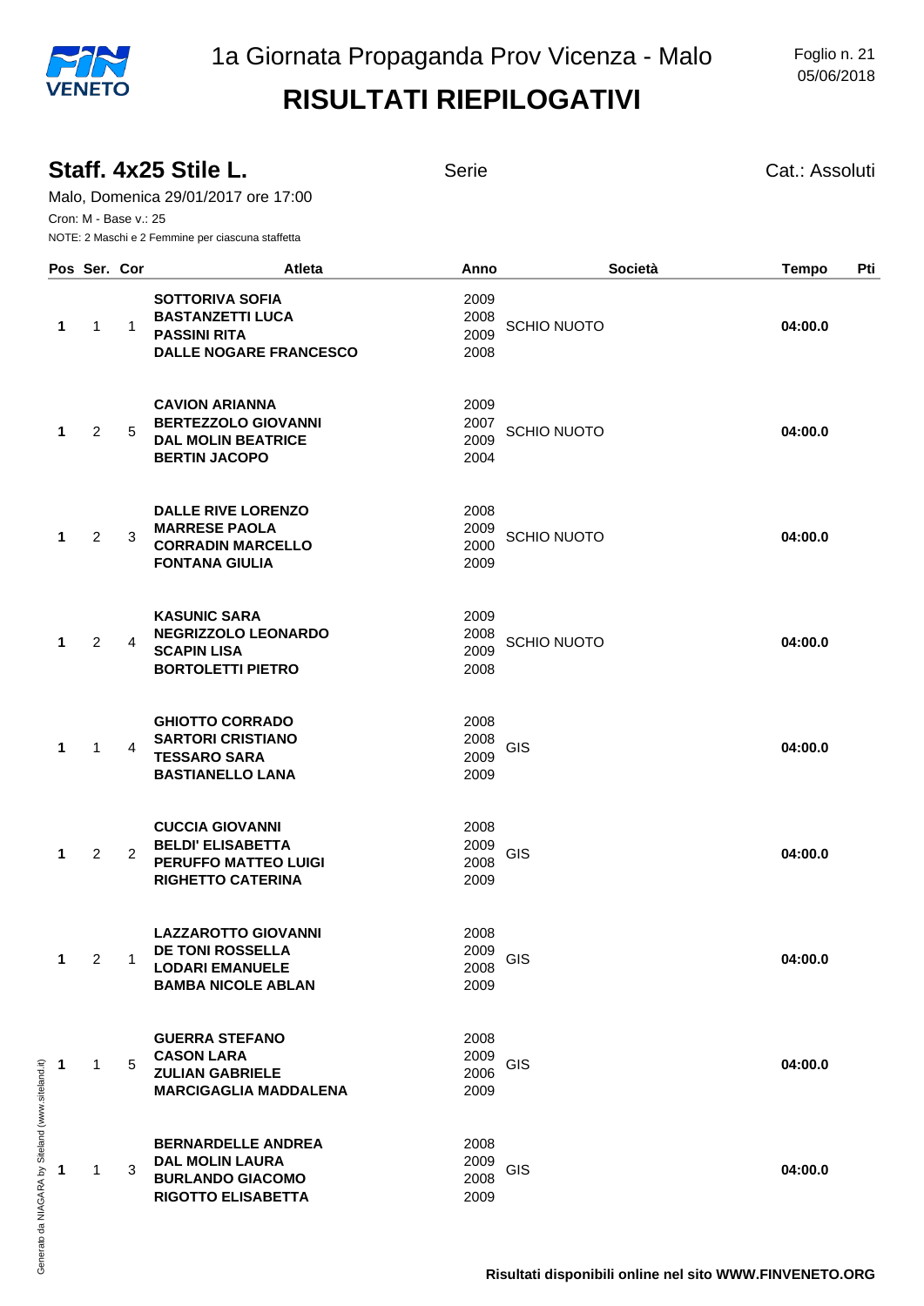|   | Cron: M - Base v.: 25 |              | Staff. 4x25 Stile L.<br>Malo, Domenica 29/01/2017 ore 17:00<br>NOTE: 2 Maschi e 2 Femmine per ciascuna staffetta | <b>Serie</b>                                       |         | Cat.: Assoluti      |
|---|-----------------------|--------------|------------------------------------------------------------------------------------------------------------------|----------------------------------------------------|---------|---------------------|
|   | Pos Ser. Cor          |              | Atleta                                                                                                           | Anno                                               | Società | <b>Tempo</b><br>Pti |
| 1 | 1                     | $\mathbf{1}$ | <b>SOTTORIVA SOFIA</b><br><b>BASTANZETTI LUCA</b><br><b>PASSINI RITA</b><br><b>DALLE NOGARE FRANCESCO</b>        | 2009<br>2008<br><b>SCHIO NUOTO</b><br>2009<br>2008 |         | 04:00.0             |
| 1 | 2                     | 5            | <b>CAVION ARIANNA</b><br><b>BERTEZZOLO GIOVANNI</b><br><b>DAL MOLIN BEATRICE</b><br><b>BERTIN JACOPO</b>         | 2009<br>2007<br><b>SCHIO NUOTO</b><br>2009<br>2004 |         | 04:00.0             |
| 1 | 2                     | 3            | <b>DALLE RIVE LORENZO</b><br><b>MARRESE PAOLA</b><br><b>CORRADIN MARCELLO</b><br><b>FONTANA GIULIA</b>           | 2008<br>2009<br><b>SCHIO NUOTO</b><br>2000<br>2009 |         | 04:00.0             |
| 1 | 2                     | 4            | <b>KASUNIC SARA</b><br><b>NEGRIZZOLO LEONARDO</b><br><b>SCAPIN LISA</b><br><b>BORTOLETTI PIETRO</b>              | 2009<br>2008<br><b>SCHIO NUOTO</b><br>2009<br>2008 |         | 04:00.0             |
| 1 | 1                     | 4            | <b>GHIOTTO CORRADO</b><br><b>SARTORI CRISTIANO</b><br><b>TESSARO SARA</b><br><b>BASTIANELLO LANA</b>             | 2008<br>2008<br>GIS<br>2009<br>2009                |         | 04:00.0             |
| 1 | 2                     | 2            | <b>CUCCIA GIOVANNI</b><br><b>BELDI' ELISABETTA</b><br><b>PERUFFO MATTEO LUIGI</b><br><b>RIGHETTO CATERINA</b>    | 2008<br>2009<br>GIS<br>2008<br>2009                |         | 04:00.0             |
| 1 | 2                     | 1            | <b>LAZZAROTTO GIOVANNI</b><br><b>DE TONI ROSSELLA</b><br><b>LODARI EMANUELE</b><br><b>BAMBA NICOLE ABLAN</b>     | 2008<br>2009<br>GIS<br>2008<br>2009                |         | 04:00.0             |
| 1 | $\mathbf{1}$          | 5            | <b>GUERRA STEFANO</b><br><b>CASON LARA</b><br><b>ZULIAN GABRIELE</b><br><b>MARCIGAGLIA MADDALENA</b>             | 2008<br>2009<br><b>GIS</b><br>2006<br>2009         |         | 04:00.0             |
| 1 | 1                     | 3            | <b>BERNARDELLE ANDREA</b><br><b>DAL MOLIN LAURA</b><br><b>BURLANDO GIACOMO</b><br><b>RIGOTTO ELISABETTA</b>      | 2008<br>2009<br><b>GIS</b><br>2008<br>2009         |         | 04:00.0             |